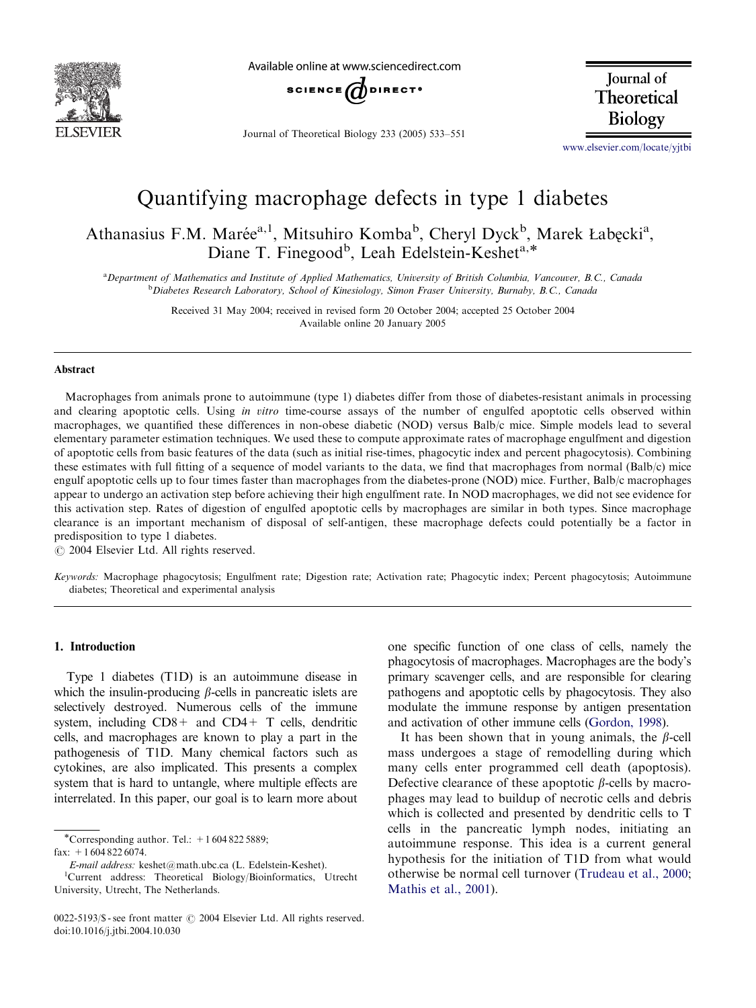

Available online at www.sciencedirect.com



Journal of Theoretical Biology 233 (2005) 533–551

Journal of Theoretical **Biology** 

<www.elsevier.com/locate/yjtbi>

# Quantifying macrophage defects in type 1 diabetes

Athanasius F.M. Marée<sup>a, 1</sup>, Mitsuhiro Komba<sup>b</sup>, Cheryl Dyck<sup>b</sup>, Marek Łabęcki<sup>a</sup>, Diane T. Finegood<sup>b</sup>, Leah Edelstein-Keshet<sup>a,\*</sup>

a Department of Mathematics and Institute of Applied Mathematics, University of British Columbia, Vancouver, B.C., Canada <sup>b</sup>Diabetes Research Laboratory, School of Kinesiology, Simon Fraser University, Burnaby, B.C., Canada

> Received 31 May 2004; received in revised form 20 October 2004; accepted 25 October 2004 Available online 20 January 2005

#### Abstract

Macrophages from animals prone to autoimmune (type 1) diabetes differ from those of diabetes-resistant animals in processing and clearing apoptotic cells. Using in vitro time-course assays of the number of engulfed apoptotic cells observed within macrophages, we quantified these differences in non-obese diabetic (NOD) versus Balb/c mice. Simple models lead to several elementary parameter estimation techniques. We used these to compute approximate rates of macrophage engulfment and digestion of apoptotic cells from basic features of the data (such as initial rise-times, phagocytic index and percent phagocytosis). Combining these estimates with full fitting of a sequence of model variants to the data, we find that macrophages from normal (Balb/c) mice engulf apoptotic cells up to four times faster than macrophages from the diabetes-prone (NOD) mice. Further, Balb/c macrophages appear to undergo an activation step before achieving their high engulfment rate. In NOD macrophages, we did not see evidence for this activation step. Rates of digestion of engulfed apoptotic cells by macrophages are similar in both types. Since macrophage clearance is an important mechanism of disposal of self-antigen, these macrophage defects could potentially be a factor in predisposition to type 1 diabetes.

 $C$  2004 Elsevier Ltd. All rights reserved.

Keywords: Macrophage phagocytosis; Engulfment rate; Digestion rate; Activation rate; Phagocytic index; Percent phagocytosis; Autoimmune diabetes; Theoretical and experimental analysis

### 1. Introduction

Type 1 diabetes (T1D) is an autoimmune disease in which the insulin-producing  $\beta$ -cells in pancreatic islets are selectively destroyed. Numerous cells of the immune system, including  $CD8+$  and  $CD4+$  T cells, dendritic cells, and macrophages are known to play a part in the pathogenesis of T1D. Many chemical factors such as cytokines, are also implicated. This presents a complex system that is hard to untangle, where multiple effects are interrelated. In this paper, our goal is to learn more about

\*Corresponding author. Tel.:  $+16048225889$ ;

 $fax: +16048226074.$ 

one specific function of one class of cells, namely the phagocytosis of macrophages. Macrophages are the body's primary scavenger cells, and are responsible for clearing pathogens and apoptotic cells by phagocytosis. They also modulate the immune response by antigen presentation and activation of other immune cells [\(Gordon, 1998](#page-18-0)).

It has been shown that in young animals, the  $\beta$ -cell mass undergoes a stage of remodelling during which many cells enter programmed cell death (apoptosis). Defective clearance of these apoptotic  $\beta$ -cells by macrophages may lead to buildup of necrotic cells and debris which is collected and presented by dendritic cells to T cells in the pancreatic lymph nodes, initiating an autoimmune response. This idea is a current general hypothesis for the initiation of T1D from what would otherwise be normal cell turnover ([Trudeau et al., 2000;](#page-18-0) [Mathis et al., 2001\)](#page-18-0).

E-mail address: keshet@math.ubc.ca (L. Edelstein-Keshet).

<sup>&</sup>lt;sup>1</sup>Current address: Theoretical Biology/Bioinformatics, Utrecht University, Utrecht, The Netherlands.

 $0022-5193/$ \$ - see front matter  $\odot$  2004 Elsevier Ltd. All rights reserved. doi:10.1016/j.jtbi.2004.10.030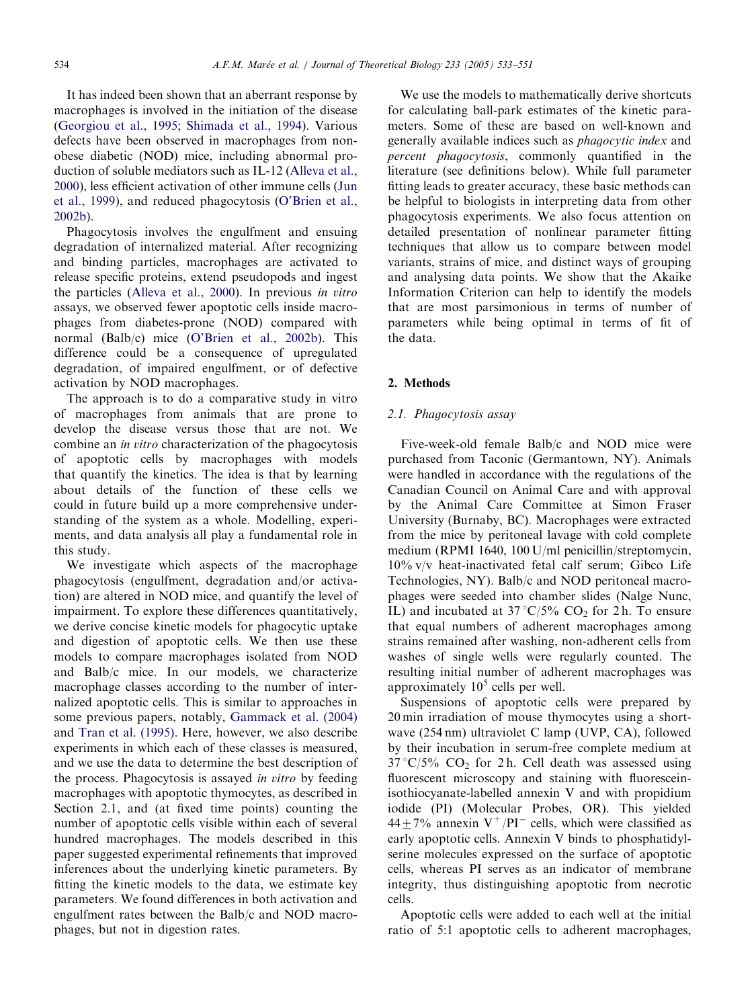It has indeed been shown that an aberrant response by macrophages is involved in the initiation of the disease ([Georgiou et al., 1995;](#page-18-0) [Shimada et al., 1994\)](#page-18-0). Various defects have been observed in macrophages from nonobese diabetic (NOD) mice, including abnormal production of soluble mediators such as IL-12 ([Alleva et al.,](#page-18-0) [2000](#page-18-0)), less efficient activation of other immune cells [\(Jun](#page-18-0) [et al., 1999\)](#page-18-0), and reduced phagocytosis ([O'Brien et al.,](#page-18-0) [2002b\)](#page-18-0).

Phagocytosis involves the engulfment and ensuing degradation of internalized material. After recognizing and binding particles, macrophages are activated to release specific proteins, extend pseudopods and ingest the particles ([Alleva et al., 2000](#page-18-0)). In previous in vitro assays, we observed fewer apoptotic cells inside macrophages from diabetes-prone (NOD) compared with normal (Balb/c) mice [\(O'Brien et al., 2002b](#page-18-0)). This difference could be a consequence of upregulated degradation, of impaired engulfment, or of defective activation by NOD macrophages.

The approach is to do a comparative study in vitro of macrophages from animals that are prone to develop the disease versus those that are not. We combine an in vitro characterization of the phagocytosis of apoptotic cells by macrophages with models that quantify the kinetics. The idea is that by learning about details of the function of these cells we could in future build up a more comprehensive understanding of the system as a whole. Modelling, experiments, and data analysis all play a fundamental role in this study.

We investigate which aspects of the macrophage phagocytosis (engulfment, degradation and/or activation) are altered in NOD mice, and quantify the level of impairment. To explore these differences quantitatively, we derive concise kinetic models for phagocytic uptake and digestion of apoptotic cells. We then use these models to compare macrophages isolated from NOD and Balb/c mice. In our models, we characterize macrophage classes according to the number of internalized apoptotic cells. This is similar to approaches in some previous papers, notably, [Gammack et al. \(2004\)](#page-18-0) and [Tran et al. \(1995\)](#page-18-0). Here, however, we also describe experiments in which each of these classes is measured, and we use the data to determine the best description of the process. Phagocytosis is assayed in vitro by feeding macrophages with apoptotic thymocytes, as described in Section 2.1, and (at fixed time points) counting the number of apoptotic cells visible within each of several hundred macrophages. The models described in this paper suggested experimental refinements that improved inferences about the underlying kinetic parameters. By fitting the kinetic models to the data, we estimate key parameters. We found differences in both activation and engulfment rates between the Balb/c and NOD macrophages, but not in digestion rates.

We use the models to mathematically derive shortcuts for calculating ball-park estimates of the kinetic parameters. Some of these are based on well-known and generally available indices such as phagocytic index and percent phagocytosis, commonly quantified in the literature (see definitions below). While full parameter fitting leads to greater accuracy, these basic methods can be helpful to biologists in interpreting data from other phagocytosis experiments. We also focus attention on detailed presentation of nonlinear parameter fitting techniques that allow us to compare between model variants, strains of mice, and distinct ways of grouping and analysing data points. We show that the Akaike Information Criterion can help to identify the models that are most parsimonious in terms of number of parameters while being optimal in terms of fit of the data.

#### 2. Methods

#### 2.1. Phagocytosis assay

Five-week-old female Balb/c and NOD mice were purchased from Taconic (Germantown, NY). Animals were handled in accordance with the regulations of the Canadian Council on Animal Care and with approval by the Animal Care Committee at Simon Fraser University (Burnaby, BC). Macrophages were extracted from the mice by peritoneal lavage with cold complete medium (RPMI 1640, 100 U/ml penicillin/streptomycin, 10% v/v heat-inactivated fetal calf serum; Gibco Life Technologies, NY). Balb/c and NOD peritoneal macrophages were seeded into chamber slides (Nalge Nunc, IL) and incubated at  $37^{\circ}C/5\%$  CO<sub>2</sub> for 2 h. To ensure that equal numbers of adherent macrophages among strains remained after washing, non-adherent cells from washes of single wells were regularly counted. The resulting initial number of adherent macrophages was approximately  $10<sup>5</sup>$  cells per well.

Suspensions of apoptotic cells were prepared by 20 min irradiation of mouse thymocytes using a shortwave (254 nm) ultraviolet C lamp (UVP, CA), followed by their incubation in serum-free complete medium at  $37 \degree C/5\%$  CO<sub>2</sub> for 2 h. Cell death was assessed using fluorescent microscopy and staining with fluoresceinisothiocyanate-labelled annexin V and with propidium iodide (PI) (Molecular Probes, OR). This yielded  $44\pm7\%$  annexin V<sup>+</sup>/PI<sup>-</sup> cells, which were classified as early apoptotic cells. Annexin V binds to phosphatidylserine molecules expressed on the surface of apoptotic cells, whereas PI serves as an indicator of membrane integrity, thus distinguishing apoptotic from necrotic cells.

Apoptotic cells were added to each well at the initial ratio of 5:1 apoptotic cells to adherent macrophages,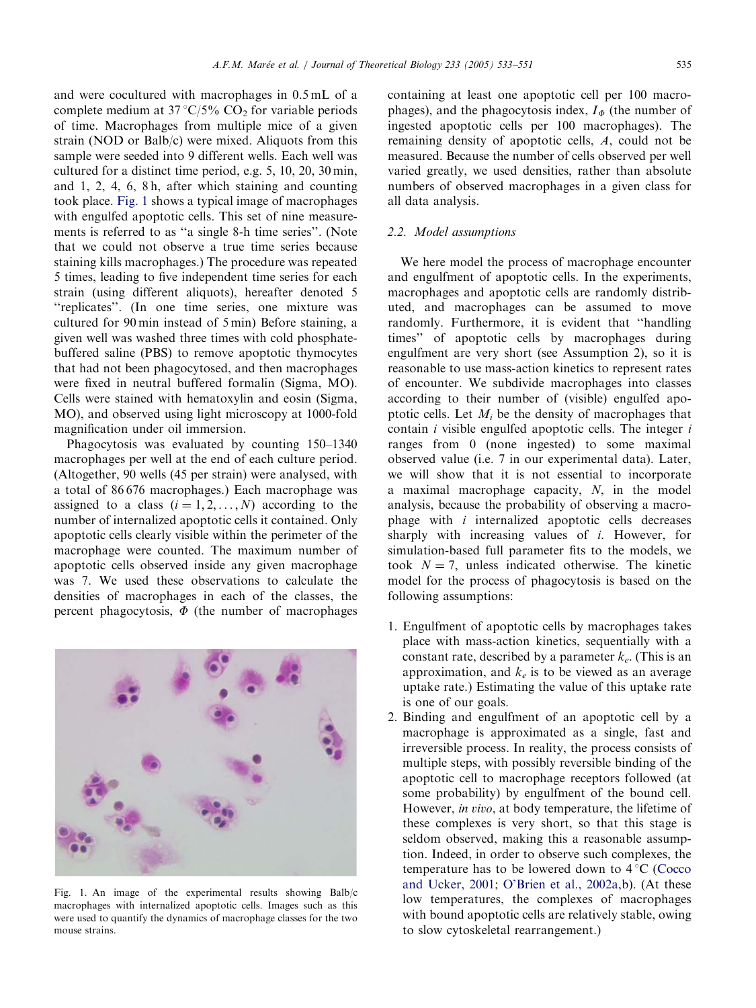and were cocultured with macrophages in 0.5 mL of a complete medium at  $37 \degree C/5\%$  CO<sub>2</sub> for variable periods of time. Macrophages from multiple mice of a given strain (NOD or Balb/c) were mixed. Aliquots from this sample were seeded into 9 different wells. Each well was cultured for a distinct time period, e.g. 5, 10, 20, 30 min, and 1, 2, 4, 6, 8 h, after which staining and counting took place. Fig. 1 shows a typical image of macrophages with engulfed apoptotic cells. This set of nine measurements is referred to as ''a single 8-h time series''. (Note that we could not observe a true time series because staining kills macrophages.) The procedure was repeated 5 times, leading to five independent time series for each strain (using different aliquots), hereafter denoted 5 "replicates". (In one time series, one mixture was cultured for 90 min instead of 5 min) Before staining, a given well was washed three times with cold phosphatebuffered saline (PBS) to remove apoptotic thymocytes that had not been phagocytosed, and then macrophages were fixed in neutral buffered formalin (Sigma, MO). Cells were stained with hematoxylin and eosin (Sigma, MO), and observed using light microscopy at 1000-fold magnification under oil immersion.

Phagocytosis was evaluated by counting 150–1340 macrophages per well at the end of each culture period. (Altogether, 90 wells (45 per strain) were analysed, with a total of 86 676 macrophages.) Each macrophage was assigned to a class  $(i = 1, 2, ..., N)$  according to the number of internalized apoptotic cells it contained. Only apoptotic cells clearly visible within the perimeter of the macrophage were counted. The maximum number of apoptotic cells observed inside any given macrophage was 7. We used these observations to calculate the densities of macrophages in each of the classes, the percent phagocytosis,  $\Phi$  (the number of macrophages





containing at least one apoptotic cell per 100 macrophages), and the phagocytosis index,  $I_{\phi}$  (the number of ingested apoptotic cells per 100 macrophages). The remaining density of apoptotic cells, A, could not be measured. Because the number of cells observed per well varied greatly, we used densities, rather than absolute numbers of observed macrophages in a given class for all data analysis.

## 2.2. Model assumptions

We here model the process of macrophage encounter and engulfment of apoptotic cells. In the experiments, macrophages and apoptotic cells are randomly distributed, and macrophages can be assumed to move randomly. Furthermore, it is evident that ''handling times'' of apoptotic cells by macrophages during engulfment are very short (see Assumption 2), so it is reasonable to use mass-action kinetics to represent rates of encounter. We subdivide macrophages into classes according to their number of (visible) engulfed apoptotic cells. Let  $M_i$  be the density of macrophages that contain  $i$  visible engulfed apoptotic cells. The integer  $i$ ranges from 0 (none ingested) to some maximal observed value (i.e. 7 in our experimental data). Later, we will show that it is not essential to incorporate a maximal macrophage capacity, N, in the model analysis, because the probability of observing a macrophage with  $i$  internalized apoptotic cells decreases sharply with increasing values of  $i$ . However, for simulation-based full parameter fits to the models, we took  $N = 7$ , unless indicated otherwise. The kinetic model for the process of phagocytosis is based on the following assumptions:

- 1. Engulfment of apoptotic cells by macrophages takes place with mass-action kinetics, sequentially with a constant rate, described by a parameter  $k_e$ . (This is an approximation, and  $k_e$  is to be viewed as an average uptake rate.) Estimating the value of this uptake rate is one of our goals.
- 2. Binding and engulfment of an apoptotic cell by a macrophage is approximated as a single, fast and irreversible process. In reality, the process consists of multiple steps, with possibly reversible binding of the apoptotic cell to macrophage receptors followed (at some probability) by engulfment of the bound cell. However, in vivo, at body temperature, the lifetime of these complexes is very short, so that this stage is seldom observed, making this a reasonable assumption. Indeed, in order to observe such complexes, the temperature has to be lowered down to  $4^{\circ}C$  ([Cocco](#page-18-0) [and Ucker, 2001;](#page-18-0) [O'Brien et al., 2002a,b](#page-18-0)). (At these low temperatures, the complexes of macrophages with bound apoptotic cells are relatively stable, owing to slow cytoskeletal rearrangement.)

Fig. 1. An image of the experimental results showing Balb/c macrophages with internalized apoptotic cells. Images such as this were used to quantify the dynamics of macrophage classes for the two mouse strains.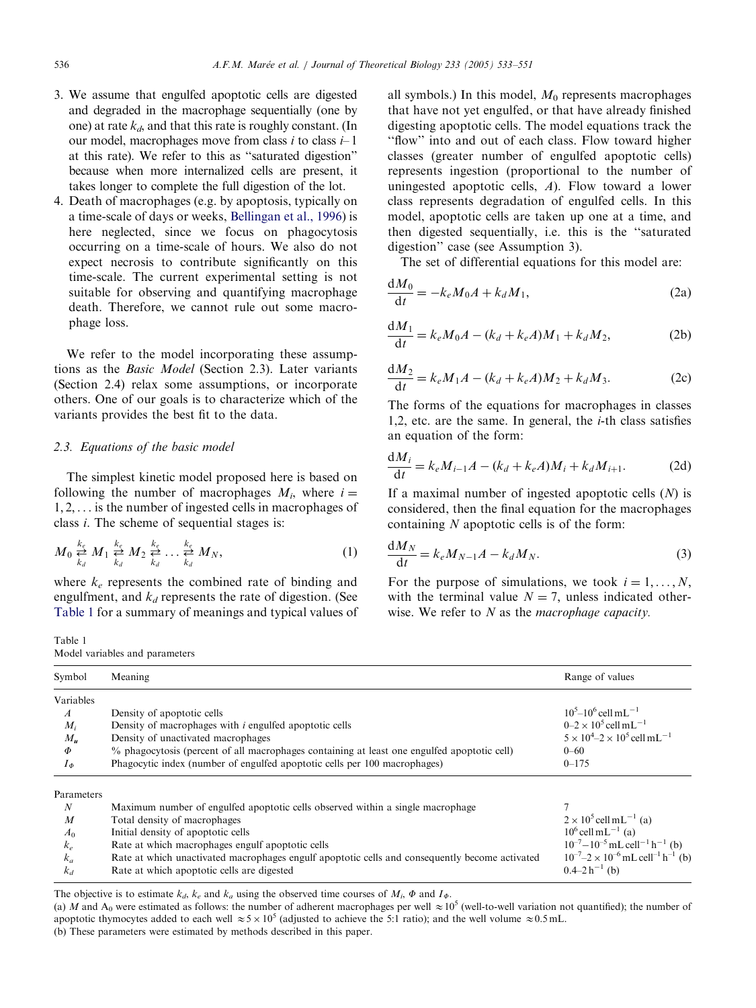- 3. We assume that engulfed apoptotic cells are digested and degraded in the macrophage sequentially (one by one) at rate  $k_d$ , and that this rate is roughly constant. (In our model, macrophages move from class  $i$  to class  $i-1$ at this rate). We refer to this as ''saturated digestion'' because when more internalized cells are present, it takes longer to complete the full digestion of the lot.
- 4. Death of macrophages (e.g. by apoptosis, typically on a time-scale of days or weeks, [Bellingan et al., 1996](#page-18-0)) is here neglected, since we focus on phagocytosis occurring on a time-scale of hours. We also do not expect necrosis to contribute significantly on this time-scale. The current experimental setting is not suitable for observing and quantifying macrophage death. Therefore, we cannot rule out some macrophage loss.

We refer to the model incorporating these assumptions as the Basic Model (Section 2.3). Later variants (Section 2.4) relax some assumptions, or incorporate others. One of our goals is to characterize which of the variants provides the best fit to the data.

#### 2.3. Equations of the basic model

The simplest kinetic model proposed here is based on following the number of macrophages  $M_i$ , where  $i =$ 1; 2; ... is the number of ingested cells in macrophages of class i. The scheme of sequential stages is:

$$
M_0 \underset{k_d}{\overset{k_e}{\rightleftharpoons}} M_1 \underset{k_d}{\overset{k_e}{\rightleftharpoons}} M_2 \underset{k_d}{\overset{k_e}{\rightleftharpoons}} \dots \underset{k_d}{\overset{k_e}{\rightleftharpoons}} M_N,
$$
 (1)

where  $k_e$  represents the combined rate of binding and engulfment, and  $k_d$  represents the rate of digestion. (See Table 1 for a summary of meanings and typical values of

Table 1 Model variables and parameters all symbols.) In this model,  $M_0$  represents macrophages that have not yet engulfed, or that have already finished digesting apoptotic cells. The model equations track the ''flow'' into and out of each class. Flow toward higher classes (greater number of engulfed apoptotic cells) represents ingestion (proportional to the number of uningested apoptotic cells, A). Flow toward a lower class represents degradation of engulfed cells. In this model, apoptotic cells are taken up one at a time, and then digested sequentially, i.e. this is the ''saturated digestion'' case (see Assumption 3).

The set of differential equations for this model are:

$$
\frac{\mathrm{d}M_0}{\mathrm{d}t} = -k_e M_0 A + k_d M_1,\tag{2a}
$$

$$
\frac{dM_1}{dt} = k_e M_0 A - (k_d + k_e A) M_1 + k_d M_2,
$$
 (2b)

$$
\frac{dM_2}{dt} = k_e M_1 A - (k_d + k_e A) M_2 + k_d M_3.
$$
 (2c)

The forms of the equations for macrophages in classes 1,2, etc. are the same. In general, the  $i$ -th class satisfies an equation of the form:

$$
\frac{dM_i}{dt} = k_e M_{i-1}A - (k_d + k_e A)M_i + k_d M_{i+1}.
$$
 (2d)

If a maximal number of ingested apoptotic cells  $(N)$  is considered, then the final equation for the macrophages containing N apoptotic cells is of the form:

$$
\frac{\mathrm{d}M_N}{\mathrm{d}t} = k_e M_{N-1} A - k_d M_N. \tag{3}
$$

For the purpose of simulations, we took  $i = 1, \ldots, N$ , with the terminal value  $N = 7$ , unless indicated otherwise. We refer to  $N$  as the macrophage capacity.

| Symbol           | Meaning                                                                                        | Range of values                                                           |
|------------------|------------------------------------------------------------------------------------------------|---------------------------------------------------------------------------|
| Variables        |                                                                                                |                                                                           |
| $\boldsymbol{A}$ | Density of apoptotic cells                                                                     | $10^5 - 10^6$ cell mL $^{-1}$                                             |
| $M_i$            | Density of macrophages with $i$ engulfed apoptotic cells                                       | $0-2 \times 10^5$ cell mI $^{-1}$                                         |
| $M_{\rm H}$      | Density of unactivated macrophages                                                             | $5 \times 10^4 - 2 \times 10^5$ cell mL $^{-1}$                           |
| $\Phi$           | % phagocytosis (percent of all macrophages containing at least one engulfed apoptotic cell)    | $0 - 60$                                                                  |
| $I_{\phi}$       | Phagocytic index (number of engulfed apoptotic cells per 100 macrophages)                      | $0 - 175$                                                                 |
| Parameters       |                                                                                                |                                                                           |
| N                | Maximum number of engulfed apoptotic cells observed within a single macrophage                 |                                                                           |
| M                | Total density of macrophages                                                                   | $2 \times 10^{5}$ cell mL <sup>-1</sup> (a)                               |
| $A_0$            | Initial density of apoptotic cells                                                             | $10^6$ cell mL <sup>-1</sup> (a)                                          |
| $k_e$            | Rate at which macrophages engulf apoptotic cells                                               | $10^{-7} - 10^{-5}$ mL cell <sup>-1</sup> h <sup>-1</sup> (b)             |
| $k_a$            | Rate at which unactivated macrophages engulf apoptotic cells and consequently become activated | $10^{-7}$ –2 × 10 <sup>-6</sup> mL cell <sup>-1</sup> h <sup>-1</sup> (b) |
| $k_d$            | Rate at which apoptotic cells are digested                                                     | $0.4-2 h^{-1}$ (b)                                                        |

The objective is to estimate  $k_d$ ,  $k_e$  and  $k_a$  using the observed time courses of  $M_i$ ,  $\Phi$  and  $I_{\Phi}$ .

(a) M and  $A_0$  were estimated as follows: the number of adherent macrophages per well  $\approx 10^5$  (well-to-well variation not quantified); the number of apoptotic thymocytes added to each well  $\approx 5 \times 10^5$  (adjusted to achieve the 5:1 ratio); and the well volume  $\approx 0.5$  mL.

(b) These parameters were estimated by methods described in this paper.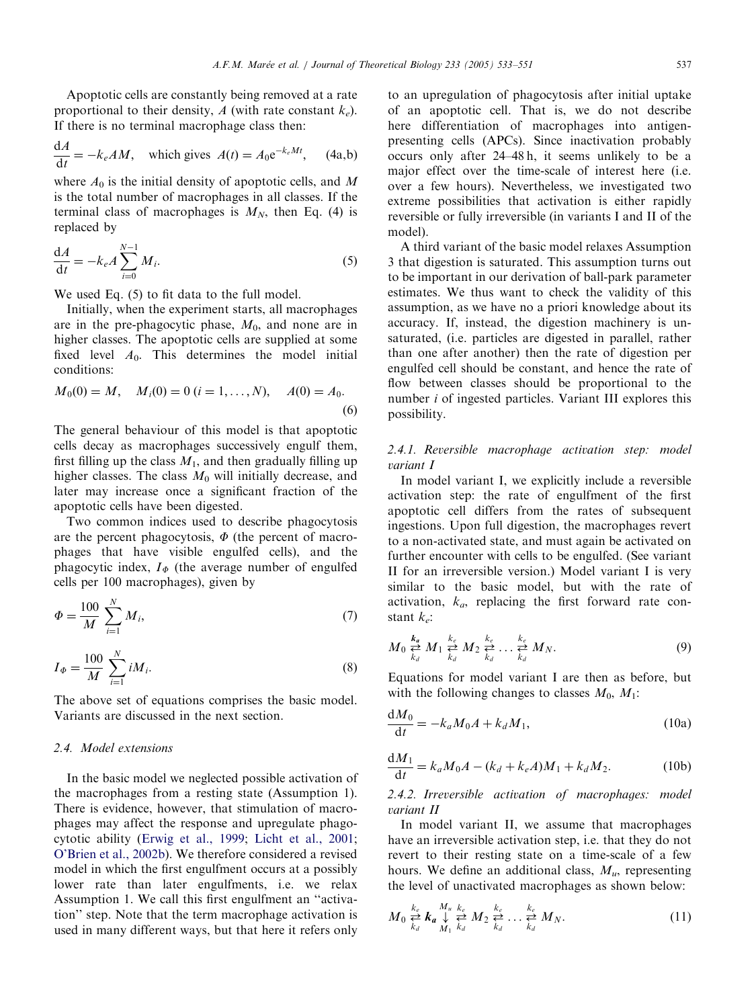Apoptotic cells are constantly being removed at a rate proportional to their density, A (with rate constant  $k_e$ ). If there is no terminal macrophage class then:

$$
\frac{dA}{dt} = -k_e AM
$$
, which gives  $A(t) = A_0 e^{-k_e Mt}$ , (4a,b)

where  $A_0$  is the initial density of apoptotic cells, and M is the total number of macrophages in all classes. If the terminal class of macrophages is  $M_N$ , then Eq. (4) is replaced by

$$
\frac{\mathrm{d}A}{\mathrm{d}t} = -k_e A \sum_{i=0}^{N-1} M_i. \tag{5}
$$

We used Eq. (5) to fit data to the full model.

Initially, when the experiment starts, all macrophages are in the pre-phagocytic phase,  $M_0$ , and none are in higher classes. The apoptotic cells are supplied at some fixed level  $A_0$ . This determines the model initial conditions:

$$
M_0(0) = M, \quad M_i(0) = 0 \ (i = 1, ..., N), \quad A(0) = A_0.
$$

The general behaviour of this model is that apoptotic cells decay as macrophages successively engulf them, first filling up the class  $M_1$ , and then gradually filling up higher classes. The class  $M_0$  will initially decrease, and later may increase once a significant fraction of the apoptotic cells have been digested.

Two common indices used to describe phagocytosis are the percent phagocytosis,  $\Phi$  (the percent of macrophages that have visible engulfed cells), and the phagocytic index,  $I_{\phi}$  (the average number of engulfed cells per 100 macrophages), given by

$$
\Phi = \frac{100}{M} \sum_{i=1}^{N} M_i,
$$
\n(7)

$$
I_{\Phi} = \frac{100}{M} \sum_{i=1}^{N} iM_i.
$$
 (8)

The above set of equations comprises the basic model. Variants are discussed in the next section.

### 2.4. Model extensions

In the basic model we neglected possible activation of the macrophages from a resting state (Assumption 1). There is evidence, however, that stimulation of macrophages may affect the response and upregulate phagocytotic ability [\(Erwig et al., 1999;](#page-18-0) [Licht et al., 2001;](#page-18-0) [O'Brien et al., 2002b\)](#page-18-0). We therefore considered a revised model in which the first engulfment occurs at a possibly lower rate than later engulfments, i.e. we relax Assumption 1. We call this first engulfment an ''activation'' step. Note that the term macrophage activation is used in many different ways, but that here it refers only

to an upregulation of phagocytosis after initial uptake of an apoptotic cell. That is, we do not describe here differentiation of macrophages into antigenpresenting cells (APCs). Since inactivation probably occurs only after 24–48 h, it seems unlikely to be a major effect over the time-scale of interest here (i.e. over a few hours). Nevertheless, we investigated two extreme possibilities that activation is either rapidly reversible or fully irreversible (in variants I and II of the model).

Athird variant of the basic model relaxes Assumption 3 that digestion is saturated. This assumption turns out to be important in our derivation of ball-park parameter estimates. We thus want to check the validity of this assumption, as we have no a priori knowledge about its accuracy. If, instead, the digestion machinery is unsaturated, (i.e. particles are digested in parallel, rather than one after another) then the rate of digestion per engulfed cell should be constant, and hence the rate of flow between classes should be proportional to the number i of ingested particles. Variant III explores this possibility.

# 2.4.1. Reversible macrophage activation step: model variant I

In model variant I, we explicitly include a reversible activation step: the rate of engulfment of the first apoptotic cell differs from the rates of subsequent ingestions. Upon full digestion, the macrophages revert to a non-activated state, and must again be activated on further encounter with cells to be engulfed. (See variant II for an irreversible version.) Model variant I is very similar to the basic model, but with the rate of activation,  $k_a$ , replacing the first forward rate constant  $k_e$ :

$$
M_0 \overset{k_a}{\underset{k_d}{\rightleftarrows}} M_1 \overset{k_e}{\underset{k_d}{\rightleftarrows}} M_2 \overset{k_e}{\underset{k_d}{\rightleftarrows}} \dots \overset{k_e}{\underset{k_d}{\rightleftarrows}} M_N. \tag{9}
$$

Equations for model variant I are then as before, but with the following changes to classes  $M_0$ ,  $M_1$ :

$$
\frac{\mathrm{d}M_0}{\mathrm{d}t} = -k_a M_0 A + k_d M_1,\tag{10a}
$$

$$
\frac{dM_1}{dt} = k_a M_0 A - (k_d + k_e A) M_1 + k_d M_2.
$$
 (10b)

# 2.4.2. Irreversible activation of macrophages: model variant II

In model variant II, we assume that macrophages have an irreversible activation step, i.e. that they do not revert to their resting state on a time-scale of a few hours. We define an additional class,  $M<sub>u</sub>$ , representing the level of unactivated macrophages as shown below:

$$
M_0 \underset{k_d}{\overset{k_e}{\rightleftharpoons}} \mathbf{k}_a \underset{M_1}{\overset{M_u}{\downarrow}} \underset{k_d}{\overset{k_e}{\rightleftharpoons}} M_2 \underset{k_d}{\overset{k_e}{\rightleftharpoons}} \dots \underset{k_d}{\overset{k_e}{\rightleftharpoons}} M_N. \tag{11}
$$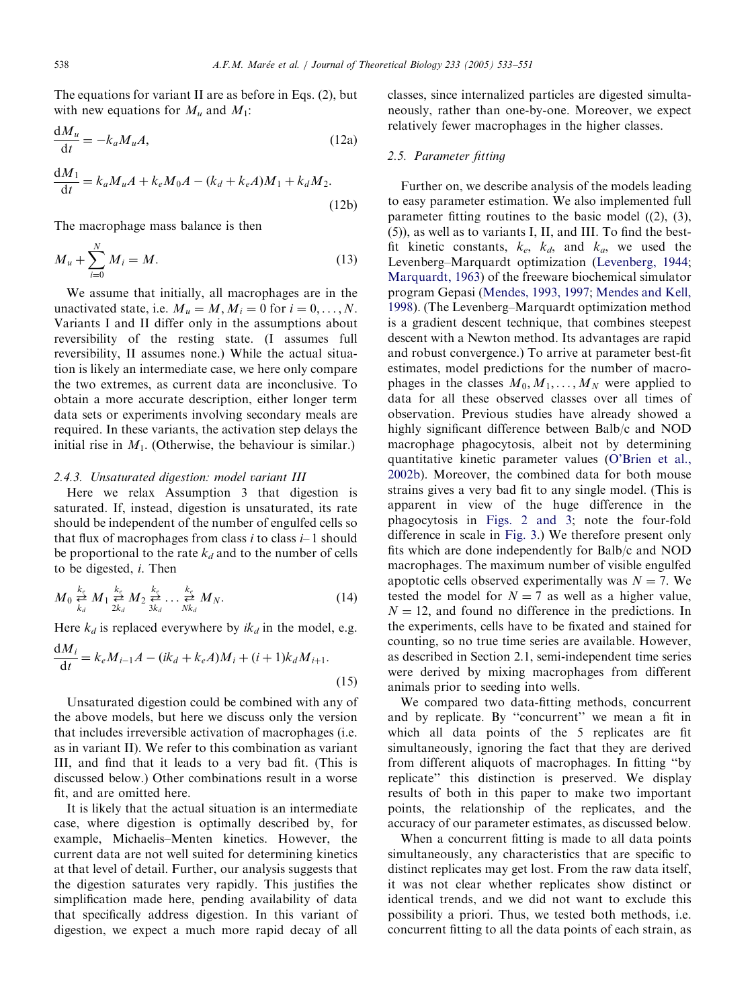The equations for variant II are as before in Eqs. (2), but with new equations for  $M_u$  and  $M_1$ :

$$
\frac{\mathrm{d}M_u}{\mathrm{d}t} = -k_a M_u A,\tag{12a}
$$

$$
\frac{dM_1}{dt} = k_a M_u A + k_e M_0 A - (k_d + k_e A) M_1 + k_d M_2.
$$
\n(12b)

The macrophage mass balance is then

$$
M_u + \sum_{i=0}^{N} M_i = M.
$$
 (13)

We assume that initially, all macrophages are in the unactivated state, i.e.  $M_u = M, M_i = 0$  for  $i = 0, ..., N$ . Variants I and II differ only in the assumptions about reversibility of the resting state. (I assumes full reversibility, II assumes none.) While the actual situation is likely an intermediate case, we here only compare the two extremes, as current data are inconclusive. To obtain a more accurate description, either longer term data sets or experiments involving secondary meals are required. In these variants, the activation step delays the initial rise in  $M_1$ . (Otherwise, the behaviour is similar.)

#### 2.4.3. Unsaturated digestion: model variant III

Here we relax Assumption 3 that digestion is saturated. If, instead, digestion is unsaturated, its rate should be independent of the number of engulfed cells so that flux of macrophages from class i to class  $i-1$  should be proportional to the rate  $k_d$  and to the number of cells to be digested, i. Then

$$
M_0 \overset{k_e}{\underset{k_d}{\rightleftharpoons}} M_1 \overset{k_e}{\underset{2k_d}{\rightleftharpoons}} M_2 \overset{k_e}{\underset{3k_d}{\rightleftharpoons}} \dots \overset{k_e}{\underset{Nk_d}{\rightleftharpoons}} M_N. \tag{14}
$$

Here  $k_d$  is replaced everywhere by  $ik_d$  in the model, e.g.

$$
\frac{dM_i}{dt} = k_e M_{i-1} A - (ik_d + k_e A) M_i + (i+1)k_d M_{i+1}.
$$
\n(15)

Unsaturated digestion could be combined with any of the above models, but here we discuss only the version that includes irreversible activation of macrophages (i.e. as in variant II). We refer to this combination as variant III, and find that it leads to a very bad fit. (This is discussed below.) Other combinations result in a worse fit, and are omitted here.

It is likely that the actual situation is an intermediate case, where digestion is optimally described by, for example, Michaelis–Menten kinetics. However, the current data are not well suited for determining kinetics at that level of detail. Further, our analysis suggests that the digestion saturates very rapidly. This justifies the simplification made here, pending availability of data that specifically address digestion. In this variant of digestion, we expect a much more rapid decay of all

classes, since internalized particles are digested simultaneously, rather than one-by-one. Moreover, we expect relatively fewer macrophages in the higher classes.

## 2.5. Parameter fitting

Further on, we describe analysis of the models leading to easy parameter estimation. We also implemented full parameter fitting routines to the basic model ((2), (3), (5)), as well as to variants I, II, and III. To find the bestfit kinetic constants,  $k_e$ ,  $k_d$ , and  $k_a$ , we used the Levenberg–Marquardt optimization ([Levenberg, 1944;](#page-18-0) [Marquardt, 1963](#page-18-0)) of the freeware biochemical simulator program Gepasi [\(Mendes, 1993, 1997](#page-18-0); [Mendes and Kell,](#page-18-0) [1998](#page-18-0)). (The Levenberg–Marquardt optimization method is a gradient descent technique, that combines steepest descent with a Newton method. Its advantages are rapid and robust convergence.) To arrive at parameter best-fit estimates, model predictions for the number of macrophages in the classes  $M_0, M_1, \ldots, M_N$  were applied to data for all these observed classes over all times of observation. Previous studies have already showed a highly significant difference between Balb/c and NOD macrophage phagocytosis, albeit not by determining quantitative kinetic parameter values ([O'Brien et al.,](#page-18-0) [2002b](#page-18-0)). Moreover, the combined data for both mouse strains gives a very bad fit to any single model. (This is apparent in view of the huge difference in the phagocytosis in [Figs. 2 and 3;](#page-6-0) note the four-fold difference in scale in [Fig. 3.](#page-7-0)) We therefore present only fits which are done independently for Balb/c and NOD macrophages. The maximum number of visible engulfed apoptotic cells observed experimentally was  $N = 7$ . We tested the model for  $N = 7$  as well as a higher value,  $N = 12$ , and found no difference in the predictions. In the experiments, cells have to be fixated and stained for counting, so no true time series are available. However, as described in Section 2.1, semi-independent time series were derived by mixing macrophages from different animals prior to seeding into wells.

We compared two data-fitting methods, concurrent and by replicate. By ''concurrent'' we mean a fit in which all data points of the 5 replicates are fit simultaneously, ignoring the fact that they are derived from different aliquots of macrophages. In fitting ''by replicate'' this distinction is preserved. We display results of both in this paper to make two important points, the relationship of the replicates, and the accuracy of our parameter estimates, as discussed below.

When a concurrent fitting is made to all data points simultaneously, any characteristics that are specific to distinct replicates may get lost. From the raw data itself, it was not clear whether replicates show distinct or identical trends, and we did not want to exclude this possibility a priori. Thus, we tested both methods, i.e. concurrent fitting to all the data points of each strain, as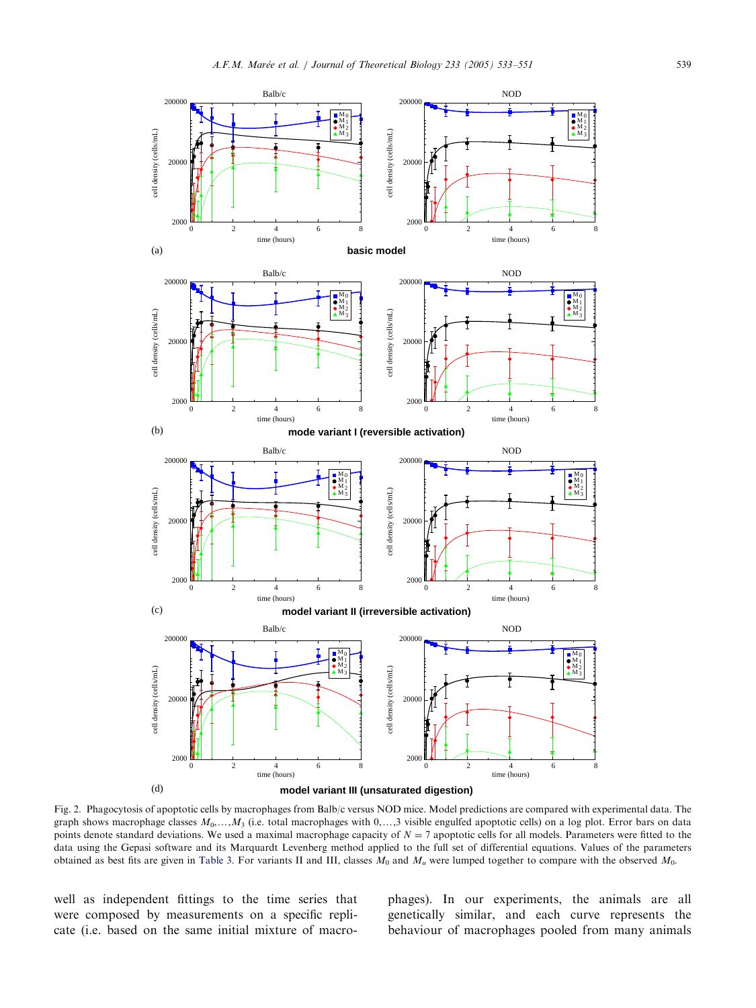<span id="page-6-0"></span>

Fig. 2. Phagocytosis of apoptotic cells by macrophages from Balb/c versus NOD mice. Model predictions are compared with experimental data. The graph shows macrophage classes  $M_0$ ,..., $M_3$  (i.e. total macrophages with 0,...,3 visible engulfed apoptotic cells) on a log plot. Error bars on data points denote standard deviations. We used a maximal macrophage capacity of  $N = 7$  apoptotic cells for all models. Parameters were fitted to the data using the Gepasi software and its Marquardt Levenberg method applied to the full set of differential equations. Values of the parameters obtained as best fits are given in [Table 3.](#page-12-0) For variants II and III, classes  $M_0$  and  $M_u$  were lumped together to compare with the observed  $M_0$ .

well as independent fittings to the time series that were composed by measurements on a specific replicate (i.e. based on the same initial mixture of macrophages). In our experiments, the animals are all genetically similar, and each curve represents the behaviour of macrophages pooled from many animals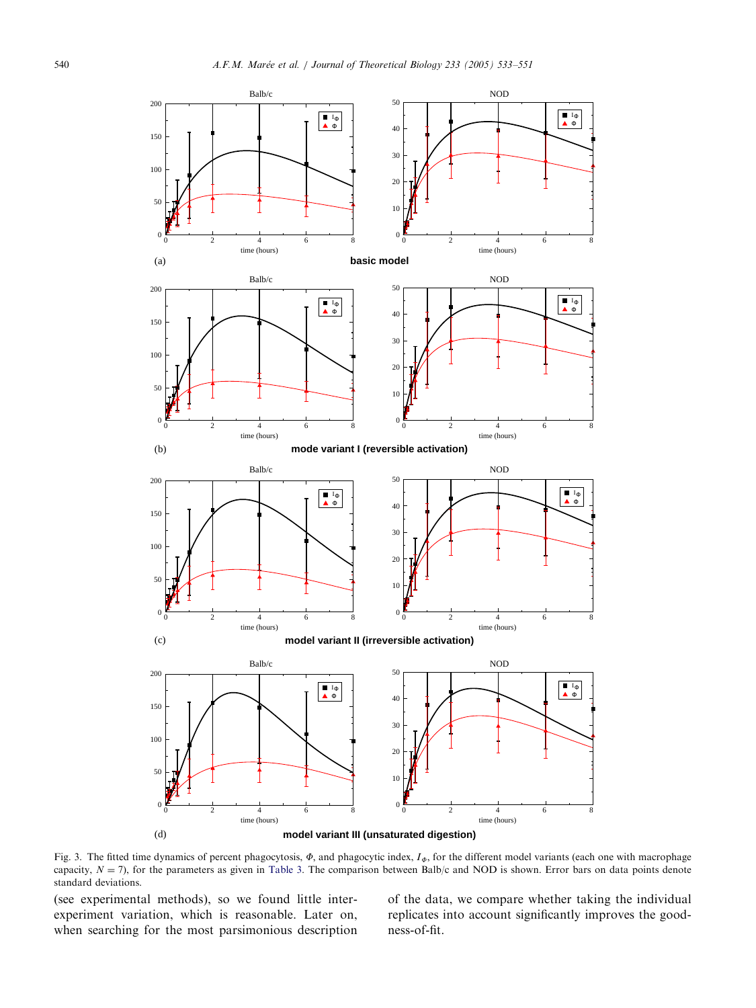<span id="page-7-0"></span>

Fig. 3. The fitted time dynamics of percent phagocytosis,  $\Phi$ , and phagocytic index,  $I_{\Phi}$ , for the different model variants (each one with macrophage capacity,  $N = 7$ ), for the parameters as given in [Table 3.](#page-12-0) The comparison between Balb/c and NOD is shown. Error bars on data points denote standard deviations.

(see experimental methods), so we found little interexperiment variation, which is reasonable. Later on, when searching for the most parsimonious description of the data, we compare whether taking the individual replicates into account significantly improves the goodness-of-fit.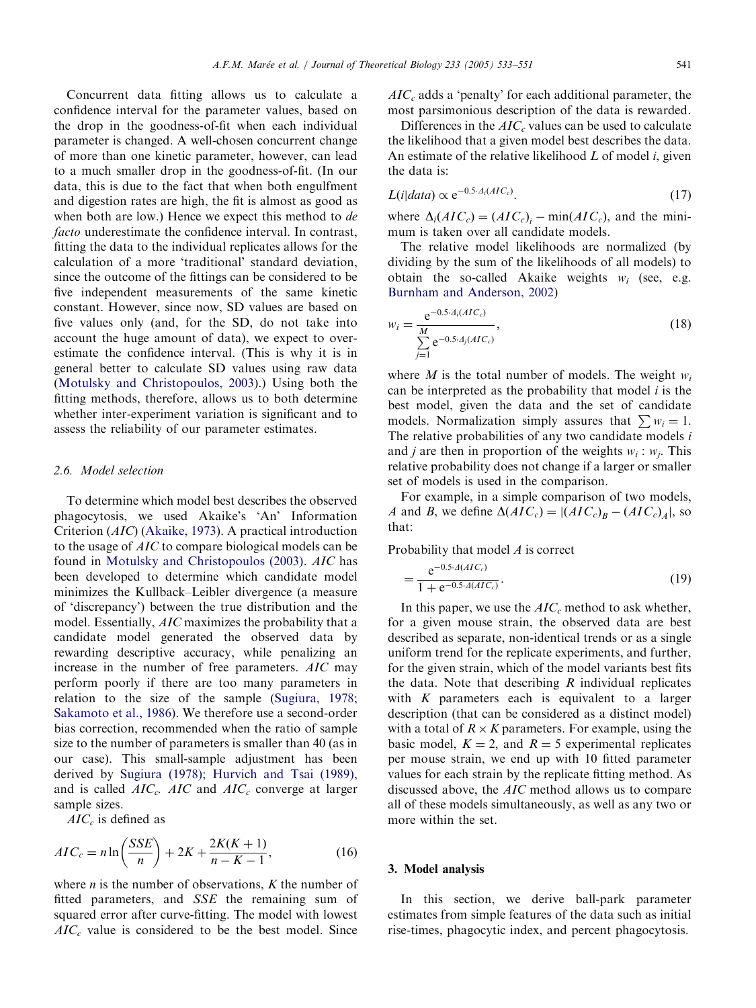Concurrent data fitting allows us to calculate a confidence interval for the parameter values, based on the drop in the goodness-of-fit when each individual parameter is changed. Awell-chosen concurrent change of more than one kinetic parameter, however, can lead to a much smaller drop in the goodness-of-fit. (In our data, this is due to the fact that when both engulfment and digestion rates are high, the fit is almost as good as when both are low.) Hence we expect this method to de facto underestimate the confidence interval. In contrast, fitting the data to the individual replicates allows for the calculation of a more 'traditional' standard deviation, since the outcome of the fittings can be considered to be five independent measurements of the same kinetic constant. However, since now, SD values are based on five values only (and, for the SD, do not take into account the huge amount of data), we expect to overestimate the confidence interval. (This is why it is in general better to calculate SD values using raw data ([Motulsky and Christopoulos, 2003](#page-18-0)).) Using both the fitting methods, therefore, allows us to both determine whether inter-experiment variation is significant and to assess the reliability of our parameter estimates.

# 2.6. Model selection

To determine which model best describes the observed phagocytosis, we used Akaike's 'An' Information Criterion  $(AIC)$  ([Akaike, 1973](#page-18-0)). A practical introduction to the usage of AIC to compare biological models can be found in [Motulsky and Christopoulos \(2003\)](#page-18-0). AIC has been developed to determine which candidate model minimizes the Kullback–Leibler divergence (a measure of 'discrepancy') between the true distribution and the model. Essentially, AIC maximizes the probability that a candidate model generated the observed data by rewarding descriptive accuracy, while penalizing an increase in the number of free parameters. AIC may perform poorly if there are too many parameters in relation to the size of the sample [\(Sugiura, 1978;](#page-18-0) [Sakamoto et al., 1986](#page-18-0)). We therefore use a second-order bias correction, recommended when the ratio of sample size to the number of parameters is smaller than 40 (as in our case). This small-sample adjustment has been derived by [Sugiura \(1978\);](#page-18-0) [Hurvich and Tsai \(1989\),](#page-18-0) and is called  $AIC_c$ . AIC and  $AIC_c$  converge at larger sample sizes.

 $AIC<sub>c</sub>$  is defined as

$$
AIC_c = n \ln \left( \frac{SSE}{n} \right) + 2K + \frac{2K(K+1)}{n - K - 1},
$$
 (16)

where  $n$  is the number of observations,  $K$  the number of fitted parameters, and SSE the remaining sum of squared error after curve-fitting. The model with lowest  $AIC<sub>c</sub>$  value is considered to be the best model. Since

 $AIC<sub>c</sub>$  adds a 'penalty' for each additional parameter, the most parsimonious description of the data is rewarded.

Differences in the  $AIC<sub>c</sub>$  values can be used to calculate the likelihood that a given model best describes the data. An estimate of the relative likelihood  $L$  of model  $i$ , given the data is:

$$
L(i|data) \propto e^{-0.5 \cdot \Delta_i (AIC_c)}.
$$
 (17)

where  $\Delta_i(AIC_c) = (AIC_c)_i - \min(AIC_c)$ , and the minimum is taken over all candidate models.

The relative model likelihoods are normalized (by dividing by the sum of the likelihoods of all models) to obtain the so-called Akaike weights  $w_i$  (see, e.g. [Burnham and Anderson, 2002](#page-18-0))

$$
w_i = \frac{e^{-0.5 \cdot A_i (AIC_c)}}{\sum_{j=1}^{M} e^{-0.5 \cdot A_j (AIC_c)}},
$$
\n(18)

where M is the total number of models. The weight  $w_i$ can be interpreted as the probability that model  $i$  is the best model, given the data and the set of candidate models. Normalization simply assures that  $\sum w_i = 1$ . The relative probabilities of any two candidate models  $i$ and *j* are then in proportion of the weights  $w_i$ :  $w_i$ . This relative probability does not change if a larger or smaller set of models is used in the comparison.

For example, in a simple comparison of two models, A and B, we define  $\Delta(ALC_c) = |(AIC_c)_B - (AIC_c)_A|$ , so that:

Probability that model A is correct

$$
=\frac{e^{-0.5 \cdot A(ALC_c)}}{1+e^{-0.5 \cdot A(ALC_c)}}.
$$
\n(19)

In this paper, we use the  $AIC_c$  method to ask whether, for a given mouse strain, the observed data are best described as separate, non-identical trends or as a single uniform trend for the replicate experiments, and further, for the given strain, which of the model variants best fits the data. Note that describing  $R$  individual replicates with  $K$  parameters each is equivalent to a larger description (that can be considered as a distinct model) with a total of  $R \times K$  parameters. For example, using the basic model,  $K = 2$ , and  $R = 5$  experimental replicates per mouse strain, we end up with 10 fitted parameter values for each strain by the replicate fitting method. As discussed above, the AIC method allows us to compare all of these models simultaneously, as well as any two or more within the set.

## 3. Model analysis

In this section, we derive ball-park parameter estimates from simple features of the data such as initial rise-times, phagocytic index, and percent phagocytosis.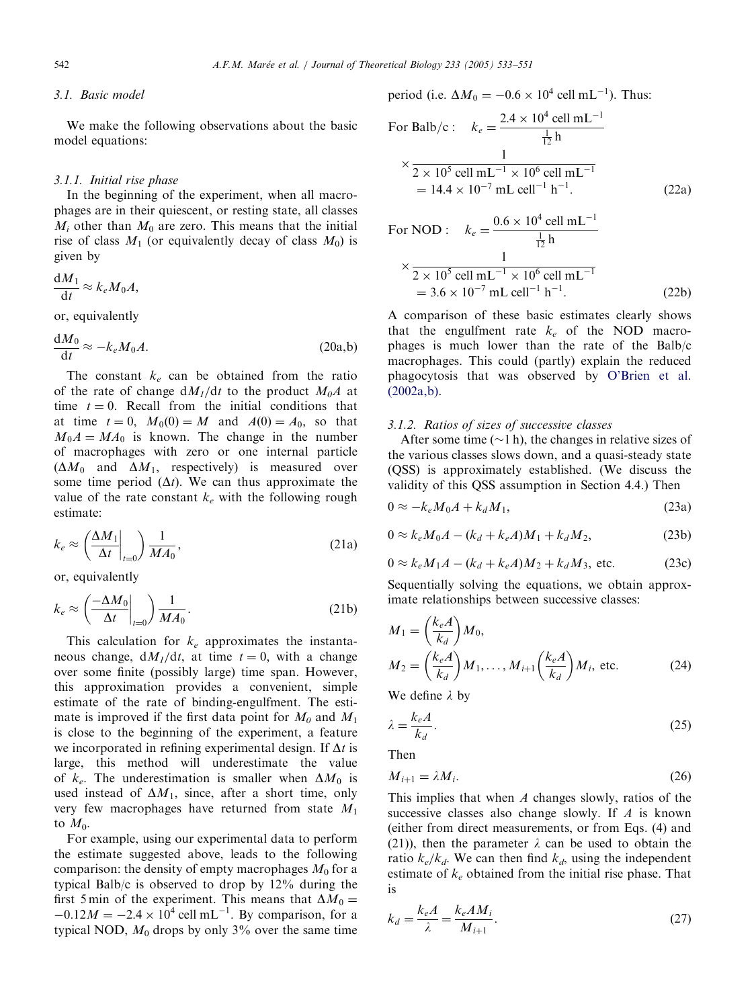#### 3.1. Basic model

We make the following observations about the basic model equations:

#### 3.1.1. Initial rise phase

In the beginning of the experiment, when all macrophages are in their quiescent, or resting state, all classes  $M_i$  other than  $M_0$  are zero. This means that the initial rise of class  $M_1$  (or equivalently decay of class  $M_0$ ) is given by

$$
\frac{\mathrm{d}M_1}{\mathrm{d}t} \approx k_e M_0 A,
$$

or, equivalently

$$
\frac{\mathrm{d}M_0}{\mathrm{d}t} \approx -k_e M_0 A. \tag{20a,b}
$$

The constant  $k_e$  can be obtained from the ratio of the rate of change  $dM_1/dt$  to the product  $M_0A$  at time  $t = 0$ . Recall from the initial conditions that at time  $t = 0$ ,  $M_0(0) = M$  and  $A(0) = A_0$ , so that  $M_0A = MA_0$  is known. The change in the number of macrophages with zero or one internal particle  $(\Delta M_0$  and  $\Delta M_1$ , respectively) is measured over some time period  $(\Delta t)$ . We can thus approximate the value of the rate constant  $k_e$  with the following rough estimate:

$$
k_e \approx \left(\frac{\Delta M_1}{\Delta t}\bigg|_{t=0}\right) \frac{1}{MA_0},\tag{21a}
$$

or, equivalently

$$
k_e \approx \left(\frac{-\Delta M_0}{\Delta t}\bigg|_{t=0}\right) \frac{1}{MA_0}.\tag{21b}
$$

This calculation for  $k_e$  approximates the instantaneous change,  $dM_1/dt$ , at time  $t = 0$ , with a change over some finite (possibly large) time span. However, this approximation provides a convenient, simple estimate of the rate of binding-engulfment. The estimate is improved if the first data point for  $M_0$  and  $M_1$ is close to the beginning of the experiment, a feature we incorporated in refining experimental design. If  $\Delta t$  is large, this method will underestimate the value of  $k_e$ . The underestimation is smaller when  $\Delta M_0$  is used instead of  $\Delta M_1$ , since, after a short time, only very few macrophages have returned from state  $M_1$ to  $M_0$ .

For example, using our experimental data to perform the estimate suggested above, leads to the following comparison: the density of empty macrophages  $M_0$  for a typical Balb/c is observed to drop by 12% during the first 5 min of the experiment. This means that  $\Delta M_0 =$  $-0.12M = -2.4 \times 10^4$  cell mL<sup>-1</sup>. By comparison, for a typical NOD,  $M_0$  drops by only 3% over the same time

period (i.e. 
$$
\Delta M_0 = -0.6 \times 10^4
$$
 cell mL<sup>-1</sup>). Thus:

For Balb/c: 
$$
k_e = \frac{2.4 \times 10^4 \text{ cell mL}^{-1}}{\frac{1}{12} \text{ h}}
$$
  
\n $\times \frac{1}{2 \times 10^5 \text{ cell mL}^{-1} \times 10^6 \text{ cell mL}^{-1}}$   
\n= 14.4 × 10<sup>-7</sup> mL cell<sup>-1</sup> h<sup>-1</sup>. (22a)

For NOD : 
$$
k_e = \frac{0.6 \times 10^4 \text{ cell mL}^{-1}}{\frac{1}{12} \text{ h}}
$$
  
\n $\times \frac{1}{2 \times 10^5 \text{ cell mL}^{-1} \times 10^6 \text{ cell mL}^{-1}}$   
\n= 3.6 × 10<sup>-7</sup> mL cell<sup>-1</sup> h<sup>-1</sup>. (22b)

Acomparison of these basic estimates clearly shows that the engulfment rate  $k_e$  of the NOD macrophages is much lower than the rate of the Balb/c macrophages. This could (partly) explain the reduced phagocytosis that was observed by [O'Brien et al.](#page-18-0) [\(2002a,b\)](#page-18-0).

## 3.1.2. Ratios of sizes of successive classes

After some time  $(\sim 1 h)$ , the changes in relative sizes of the various classes slows down, and a quasi-steady state (QSS) is approximately established. (We discuss the validity of this QSS assumption in Section 4.4.) Then

$$
0 \approx -k_e M_0 A + k_d M_1,\tag{23a}
$$

$$
0 \approx k_e M_0 A - (k_d + k_e A) M_1 + k_d M_2,
$$
 (23b)

$$
0 \approx k_e M_1 A - (k_d + k_e A) M_2 + k_d M_3
$$
, etc. (23c)

Sequentially solving the equations, we obtain approximate relationships between successive classes:

$$
M_1 = \left(\frac{k_e A}{k_d}\right) M_0,
$$
  
\n
$$
M_2 = \left(\frac{k_e A}{k_d}\right) M_1, \dots, M_{i+1} \left(\frac{k_e A}{k_d}\right) M_i, \text{ etc.}
$$
\n(24)

We define  $\lambda$  by

$$
\lambda = \frac{k_e A}{k_d}.\tag{25}
$$

Then

$$
M_{i+1} = \lambda M_i. \tag{26}
$$

This implies that when  $A$  changes slowly, ratios of the successive classes also change slowly. If  $A$  is known (either from direct measurements, or from Eqs. (4) and (21)), then the parameter  $\lambda$  can be used to obtain the ratio  $k_e/k_d$ . We can then find  $k_d$ , using the independent estimate of  $k_e$  obtained from the initial rise phase. That is

$$
k_d = \frac{k_e A}{\lambda} = \frac{k_e A M_i}{M_{i+1}}.\tag{27}
$$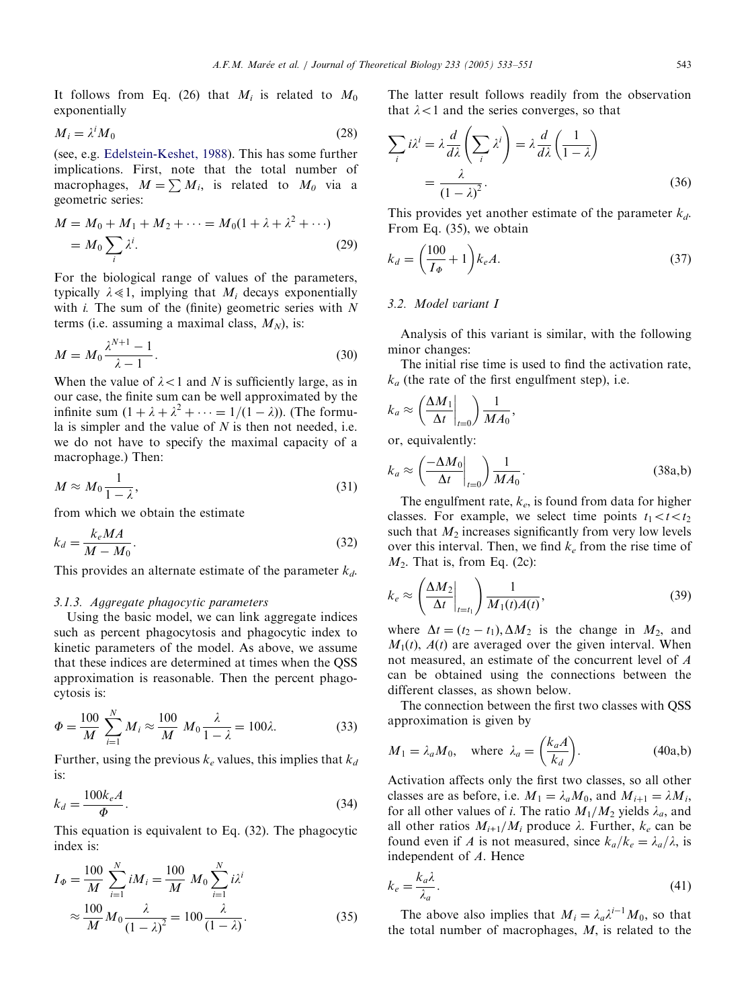It follows from Eq. (26) that  $M_i$  is related to  $M_0$ exponentially

$$
M_i = \lambda^i M_0 \tag{28}
$$

(see, e.g. [Edelstein-Keshet, 1988](#page-18-0)). This has some further implications. First, note that the total number of macrophages,  $M = \sum M_i$ , is related to  $M_0$  via a geometric series:

$$
M = M_0 + M_1 + M_2 + \dots = M_0(1 + \lambda + \lambda^2 + \dots)
$$
  
=  $M_0 \sum_i \lambda^i$ . (29)

For the biological range of values of the parameters, typically  $\lambda \ll 1$ , implying that  $M_i$  decays exponentially with  $i$ . The sum of the (finite) geometric series with  $N$ terms (i.e. assuming a maximal class,  $M_N$ ), is:

$$
M = M_0 \frac{\lambda^{N+1} - 1}{\lambda - 1}.
$$
 (30)

When the value of  $\lambda$ <1 and N is sufficiently large, as in our case, the finite sum can be well approximated by the infinite sum  $(1 + \lambda + \lambda^2 + \cdots = 1/(1 - \lambda))$ . (The formula is simpler and the value of  $N$  is then not needed, i.e. we do not have to specify the maximal capacity of a macrophage.) Then:

$$
M \approx M_0 \frac{1}{1 - \lambda},\tag{31}
$$

from which we obtain the estimate

$$
k_d = \frac{k_e MA}{M - M_0}.
$$
\n(32)

This provides an alternate estimate of the parameter  $k_d$ .

#### 3.1.3. Aggregate phagocytic parameters

Using the basic model, we can link aggregate indices such as percent phagocytosis and phagocytic index to kinetic parameters of the model. As above, we assume that these indices are determined at times when the QSS approximation is reasonable. Then the percent phagocytosis is:

$$
\Phi = \frac{100}{M} \sum_{i=1}^{N} M_i \approx \frac{100}{M} M_0 \frac{\lambda}{1 - \lambda} = 100\lambda.
$$
 (33)

Further, using the previous  $k_e$  values, this implies that  $k_d$ is:

$$
k_d = \frac{100k_eA}{\Phi}.
$$
\n(34)

This equation is equivalent to Eq. (32). The phagocytic index is:

$$
I_{\Phi} = \frac{100}{M} \sum_{i=1}^{N} iM_i = \frac{100}{M} M_0 \sum_{i=1}^{N} i\lambda^i
$$
  

$$
\approx \frac{100}{M} M_0 \frac{\lambda}{(1-\lambda)^2} = 100 \frac{\lambda}{(1-\lambda)}.
$$
 (35)

The latter result follows readily from the observation that  $\lambda$ <1 and the series converges, so that

$$
\sum_{i} i\lambda^{i} = \lambda \frac{d}{d\lambda} \left( \sum_{i} \lambda^{i} \right) = \lambda \frac{d}{d\lambda} \left( \frac{1}{1 - \lambda} \right)
$$

$$
= \frac{\lambda}{\left( 1 - \lambda \right)^{2}}.
$$
(36)

This provides yet another estimate of the parameter  $k_d$ . From Eq. (35), we obtain

$$
k_d = \left(\frac{100}{I_{\phi}} + 1\right)k_e A. \tag{37}
$$

#### 3.2. Model variant I

Analysis of this variant is similar, with the following minor changes:

The initial rise time is used to find the activation rate,  $k_a$  (the rate of the first engulfment step), i.e.

$$
k_a \approx \left(\frac{\Delta M_1}{\Delta t}\bigg|_{t=0}\right) \frac{1}{MA_0},
$$

or, equivalently:

$$
k_a \approx \left(\frac{-\Delta M_0}{\Delta t}\bigg|_{t=0}\right) \frac{1}{MA_0}.\tag{38a,b}
$$

The engulfment rate,  $k_e$ , is found from data for higher classes. For example, we select time points  $t_1 < t < t_2$ such that  $M_2$  increases significantly from very low levels over this interval. Then, we find  $k_e$  from the rise time of  $M_2$ . That is, from Eq. (2c):

$$
k_e \approx \left(\frac{\Delta M_2}{\Delta t}\bigg|_{t=t_1}\right) \frac{1}{M_1(t)A(t)},\tag{39}
$$

where  $\Delta t = (t_2 - t_1), \Delta M_2$  is the change in  $M_2$ , and  $M_1(t)$ ,  $A(t)$  are averaged over the given interval. When not measured, an estimate of the concurrent level of A can be obtained using the connections between the different classes, as shown below.

The connection between the first two classes with QSS approximation is given by

$$
M_1 = \lambda_a M_0, \quad \text{where } \lambda_a = \left(\frac{k_a A}{k_d}\right). \tag{40a,b}
$$

Activation affects only the first two classes, so all other classes are as before, i.e.  $M_1 = \lambda_a M_0$ , and  $M_{i+1} = \lambda M_i$ , for all other values of i. The ratio  $M_1/M_2$  yields  $\lambda_a$ , and all other ratios  $M_{i+1}/M_i$  produce  $\lambda$ . Further,  $k_e$  can be found even if A is not measured, since  $k_a/k_e = \lambda_a/\lambda$ , is independent of A. Hence

$$
k_e = \frac{k_a \lambda}{\lambda_a}.\tag{41}
$$

The above also implies that  $M_i = \lambda_a \lambda^{i-1} M_0$ , so that the total number of macrophages,  $M$ , is related to the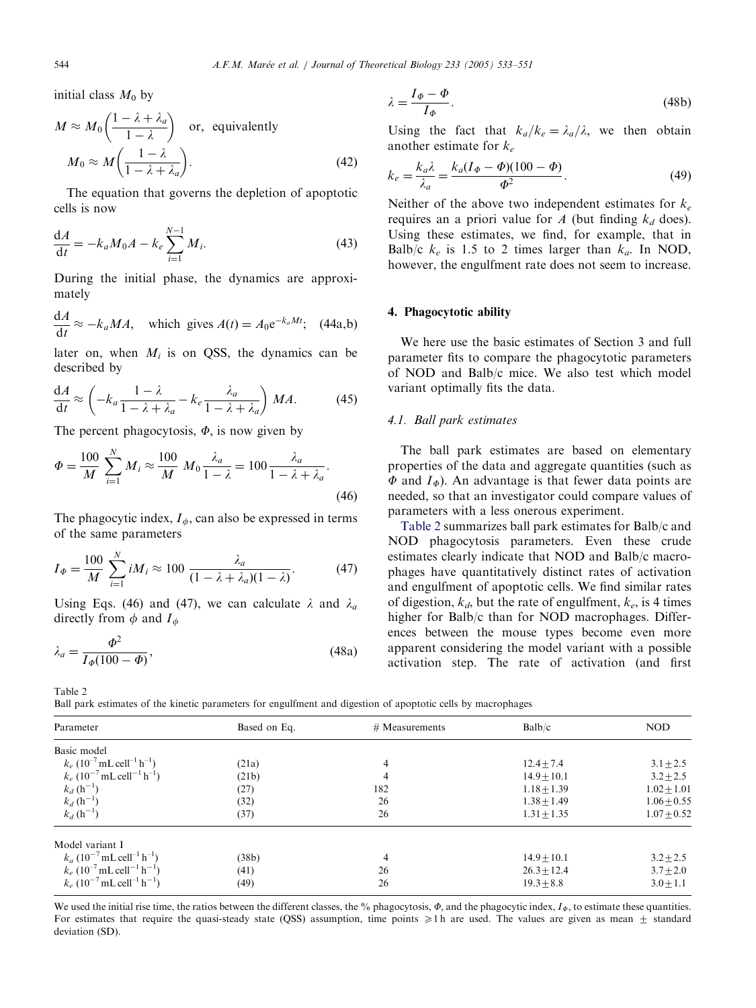<span id="page-11-0"></span>initial class  $M_0$  by

$$
M \approx M_0 \left( \frac{1 - \lambda + \lambda_a}{1 - \lambda} \right) \quad \text{or, equivalently}
$$

$$
M_0 \approx M \left( \frac{1 - \lambda}{1 - \lambda + \lambda_a} \right). \tag{42}
$$

The equation that governs the depletion of apoptotic cells is now

$$
\frac{dA}{dt} = -k_a M_0 A - k_e \sum_{i=1}^{N-1} M_i.
$$
 (43)

During the initial phase, the dynamics are approximately

$$
\frac{dA}{dt} \approx -k_a MA, \quad \text{which gives } A(t) = A_0 e^{-k_a Mt}; \quad (44a,b)
$$

later on, when  $M_i$  is on QSS, the dynamics can be described by

$$
\frac{\mathrm{d}A}{\mathrm{d}t} \approx \left(-k_a \frac{1-\lambda}{1-\lambda+\lambda_a} - k_e \frac{\lambda_a}{1-\lambda+\lambda_a}\right) MA. \tag{45}
$$

The percent phagocytosis,  $\Phi$ , is now given by

$$
\Phi = \frac{100}{M} \sum_{i=1}^{N} M_i \approx \frac{100}{M} M_0 \frac{\lambda_a}{1 - \lambda} = 100 \frac{\lambda_a}{1 - \lambda + \lambda_a}.
$$
\n(46)

The phagocytic index,  $I_{\phi}$ , can also be expressed in terms of the same parameters

$$
I_{\Phi} = \frac{100}{M} \sum_{i=1}^{N} i M_i \approx 100 \frac{\lambda_a}{(1 - \lambda + \lambda_a)(1 - \lambda)}.
$$
 (47)

Using Eqs. (46) and (47), we can calculate  $\lambda$  and  $\lambda_a$ directly from  $\phi$  and  $I_{\phi}$ 

$$
\lambda_a = \frac{\Phi^2}{I_{\Phi}(100 - \Phi)},\tag{48a}
$$

$$
\lambda = \frac{I_{\Phi} - \Phi}{I_{\Phi}}.\tag{48b}
$$

Using the fact that  $k_a/k_e = \lambda_a/\lambda$ , we then obtain another estimate for  $k_e$ 

$$
k_e = \frac{k_a \lambda}{\lambda_a} = \frac{k_a (I_\Phi - \Phi)(100 - \Phi)}{\Phi^2}.
$$
 (49)

Neither of the above two independent estimates for  $k_e$ requires an a priori value for  $A$  (but finding  $k_d$  does). Using these estimates, we find, for example, that in Balb/c  $k_e$  is 1.5 to 2 times larger than  $k_a$ . In NOD, however, the engulfment rate does not seem to increase.

#### 4. Phagocytotic ability

We here use the basic estimates of Section 3 and full parameter fits to compare the phagocytotic parameters of NOD and Balb/c mice. We also test which model variant optimally fits the data.

#### 4.1. Ball park estimates

The ball park estimates are based on elementary properties of the data and aggregate quantities (such as  $\Phi$  and  $I_{\Phi}$ ). An advantage is that fewer data points are needed, so that an investigator could compare values of parameters with a less onerous experiment.

Table 2 summarizes ball park estimates for Balb/c and NOD phagocytosis parameters. Even these crude estimates clearly indicate that NOD and Balb/c macrophages have quantitatively distinct rates of activation and engulfment of apoptotic cells. We find similar rates of digestion,  $k_d$ , but the rate of engulfment,  $k_e$ , is 4 times higher for Balb/c than for NOD macrophages. Differences between the mouse types become even more apparent considering the model variant with a possible activation step. The rate of activation (and first

Table 2

Ball park estimates of the kinetic parameters for engulfment and digestion of apoptotic cells by macrophages

| Parameter                                                       | Based on Eq. | $#$ Measurements | Balb/c          | <b>NOD</b>      |
|-----------------------------------------------------------------|--------------|------------------|-----------------|-----------------|
| Basic model                                                     |              |                  |                 |                 |
| $k_e$ (10 <sup>-7</sup> mL cell <sup>-1</sup> h <sup>-1</sup> ) | (21a)        | $\overline{4}$   | $12.4 + 7.4$    | $3.1 \pm 2.5$   |
| $k_e$ (10 <sup>-7</sup> mL cell <sup>-1</sup> h <sup>-1</sup> ) | (21b)        | 4                | $14.9 + 10.1$   | $3.2 + 2.5$     |
| $k_d$ (h <sup>-1</sup> )                                        | (27)         | 182              | $1.18 + 1.39$   | $1.02 + 1.01$   |
| $k_d(h^{-1})$                                                   | (32)         | 26               | $1.38 \pm 1.49$ | $1.06 \pm 0.55$ |
| $k_d$ (h <sup>-1</sup> )                                        | (37)         | 26               | $1.31 + 1.35$   | $1.07 \pm 0.52$ |
| Model variant I                                                 |              |                  |                 |                 |
| $k_a (10^{-7}$ mL cell <sup>-1</sup> h <sup>-1</sup> )          | (38b)        | 4                | $14.9 + 10.1$   | $3.2 \pm 2.5$   |
| $k_e$ (10 <sup>-7</sup> mL cell <sup>-1</sup> h <sup>-1</sup> ) | (41)         | 26               | $26.3 + 12.4$   | $3.7 \pm 2.0$   |
| $k_e$ (10 <sup>-7</sup> mL cell <sup>-1</sup> h <sup>-1</sup> ) | (49)         | 26               | $19.3 + 8.8$    | $3.0 \pm 1.1$   |

We used the initial rise time, the ratios between the different classes, the % phagocytosis,  $\Phi$ , and the phagocytic index,  $I_{\Phi}$ , to estimate these quantities. For estimates that require the quasi-steady state (QSS) assumption, time points  $\geq 1$  h are used. The values are given as mean  $\pm$  standard deviation (SD).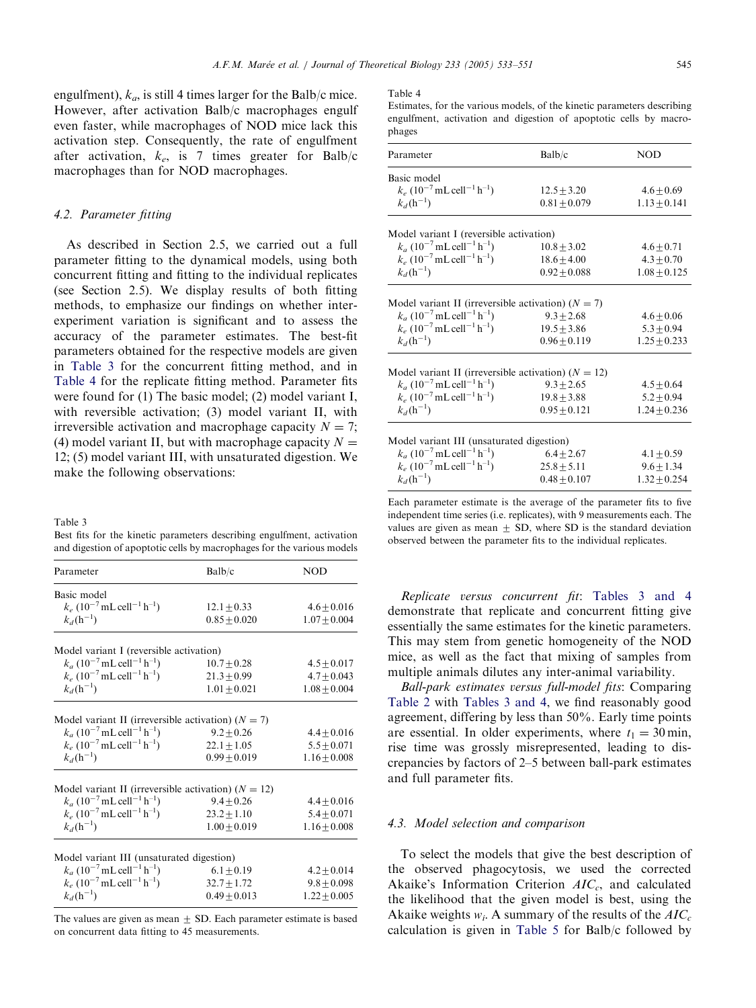<span id="page-12-0"></span>engulfment),  $k_a$ , is still 4 times larger for the Balb/c mice. Table 4

However, after activation Balb/c macrophages engulf even faster, while macrophages of NOD mice lack this activation step. Consequently, the rate of engulfment after activation,  $k_e$ , is 7 times greater for Balb/c macrophages than for NOD macrophages.

# 4.2. Parameter fitting

As described in Section 2.5, we carried out a full parameter fitting to the dynamical models, using both concurrent fitting and fitting to the individual replicates (see Section 2.5). We display results of both fitting methods, to emphasize our findings on whether interexperiment variation is significant and to assess the accuracy of the parameter estimates. The best-fit parameters obtained for the respective models are given in Table 3 for the concurrent fitting method, and in Table 4 for the replicate fitting method. Parameter fits were found for (1) The basic model; (2) model variant I, with reversible activation; (3) model variant II, with irreversible activation and macrophage capacity  $N = 7$ ; (4) model variant II, but with macrophage capacity  $N =$ 12; (5) model variant III, with unsaturated digestion. We make the following observations:

Table 3

Best fits for the kinetic parameters describing engulfment, activation and digestion of apoptotic cells by macrophages for the various models

| Parameter                                                                                                                  | Balb/c           | <b>NOD</b>       |
|----------------------------------------------------------------------------------------------------------------------------|------------------|------------------|
| Basic model                                                                                                                |                  |                  |
| $k_e$ (10 <sup>-7</sup> mL cell <sup>-1</sup> h <sup>-1</sup> )                                                            | $12.1 + 0.33$    | $4.6 + 0.016$    |
| $k_d(h^{-1})$                                                                                                              | $0.85 \pm 0.020$ | $1.07 + 0.004$   |
| Model variant I (reversible activation)                                                                                    |                  |                  |
| $k_a$ (10 <sup>-7</sup> mL cell <sup>-1</sup> h <sup>-1</sup> )                                                            | $10.7 + 0.28$    | $4.5 + 0.017$    |
| $k_e$ (10 <sup>-7</sup> mL cell <sup>-1</sup> h <sup>-1</sup> )                                                            | $21.3 + 0.99$    | $4.7 + 0.043$    |
| $k_d(h^{-1})$                                                                                                              | $1.01 + 0.021$   | $1.08 + 0.004$   |
|                                                                                                                            |                  |                  |
|                                                                                                                            |                  |                  |
| Model variant II (irreversible activation) ( $N = 7$ )                                                                     |                  |                  |
| $k_a$ (10 <sup>-7</sup> mL cell <sup>-1</sup> h <sup>-1</sup> )                                                            | $9.2 + 0.26$     | $4.4 + 0.016$    |
| $k_e$ (10 <sup>-7</sup> mL cell <sup>-1</sup> h <sup>-1</sup> )                                                            | $22.1 + 1.05$    | $5.5 + 0.071$    |
| $k_d(h^{-1})$                                                                                                              | $0.99 + 0.019$   | $1.16 \pm 0.008$ |
|                                                                                                                            |                  |                  |
| Model variant II (irreversible activation) ( $N = 12$ )<br>$k_a$ (10 <sup>-7</sup> mL cell <sup>-1</sup> h <sup>-1</sup> ) | $9.4 + 0.26$     |                  |
|                                                                                                                            |                  | $4.4 + 0.016$    |
| $k_e$ (10 <sup>-7</sup> mL cell <sup>-1</sup> h <sup>-1</sup> )                                                            | $23.2 + 1.10$    | $5.4 + 0.071$    |
| $k_d(h^{-1})$                                                                                                              | $1.00 + 0.019$   | $1.16 + 0.008$   |
|                                                                                                                            |                  |                  |
| Model variant III (unsaturated digestion)                                                                                  |                  |                  |
| $k_a$ (10 <sup>-7</sup> mL cell <sup>-1</sup> h <sup>-1</sup> )                                                            | $6.1 + 0.19$     | $4.2 + 0.014$    |
| $k_e$ (10 <sup>-7</sup> mL cell <sup>-1</sup> h <sup>-1</sup> )                                                            | $32.7 + 1.72$    | $9.8 + 0.098$    |
| $k_d(h^{-1})$                                                                                                              | $0.49 + 0.013$   | $1.22 + 0.005$   |
|                                                                                                                            |                  |                  |

The values are given as mean  $\pm$  SD. Each parameter estimate is based on concurrent data fitting to 45 measurements.

Estimates, for the various models, of the kinetic parameters describing engulfment, activation and digestion of apoptotic cells by macrophages

| Parameter                                                                                                    | Balb/c         | <b>NOD</b>     |  |
|--------------------------------------------------------------------------------------------------------------|----------------|----------------|--|
| Basic model                                                                                                  |                |                |  |
| $k_e$ (10 <sup>-7</sup> mL cell <sup>-1</sup> h <sup>-1</sup> )                                              | $12.5 + 3.20$  | $4.6 + 0.69$   |  |
| $k_d(h^{-1})$                                                                                                | $0.81 + 0.079$ | $1.13 + 0.141$ |  |
| Model variant I (reversible activation)                                                                      |                |                |  |
| $k_a$ (10 <sup>-7</sup> mL cell <sup>-1</sup> h <sup>-1</sup> )                                              | $10.8 + 3.02$  | $4.6 + 0.71$   |  |
| $k_e$ (10 <sup>-7</sup> mL cell <sup>-1</sup> h <sup>-1</sup> )                                              | $18.6 + 4.00$  | $4.3 + 0.70$   |  |
| $k_d(h^{-1})$                                                                                                | $0.92 + 0.088$ | $1.08 + 0.125$ |  |
|                                                                                                              |                |                |  |
| Model variant II (irreversible activation) ( $N = 7$ )                                                       |                |                |  |
| $k_a$ (10 <sup>-7</sup> mL cell <sup>-1</sup> h <sup>-1</sup> )                                              | $9.3 + 2.68$   | $4.6 \pm 0.06$ |  |
| $k_e$ (10 <sup>-7</sup> mL cell <sup>-1</sup> h <sup>-1</sup> )                                              | $19.5 + 3.86$  | $5.3 + 0.94$   |  |
| $k_d(h^{-1})$                                                                                                | $0.96 + 0.119$ | $1.25 + 0.233$ |  |
| Model variant II (irreversible activation) ( $N = 12$ )                                                      |                |                |  |
| $k_a$ (10 <sup>-7</sup> mL cell <sup>-1</sup> h <sup>-1</sup> )                                              | $9.3 \pm 2.65$ | $4.5 + 0.64$   |  |
| $k_e$ (10 <sup>-7</sup> mL cell <sup>-1</sup> h <sup>-1</sup> )                                              | $19.8 + 3.88$  | $5.2 + 0.94$   |  |
| $k_d(h^{-1})$                                                                                                | $0.95 + 0.121$ | $1.24 + 0.236$ |  |
|                                                                                                              |                |                |  |
|                                                                                                              |                |                |  |
| Model variant III (unsaturated digestion)<br>$k_a$ (10 <sup>-7</sup> mL cell <sup>-1</sup> h <sup>-1</sup> ) |                |                |  |
| $k_e$ (10 <sup>-7</sup> mL cell <sup>-1</sup> h <sup>-1</sup> )                                              | $6.4 \pm 2.67$ | $4.1 + 0.59$   |  |
|                                                                                                              | $25.8 + 5.11$  | $9.6 \pm 1.34$ |  |
| $k_d(h^{-1})$                                                                                                | $0.48 + 0.107$ | $1.32 + 0.254$ |  |

Each parameter estimate is the average of the parameter fits to five independent time series (i.e. replicates), with 9 measurements each. The values are given as mean  $+$  SD, where SD is the standard deviation observed between the parameter fits to the individual replicates.

Replicate versus concurrent fit: Tables 3 and 4 demonstrate that replicate and concurrent fitting give essentially the same estimates for the kinetic parameters. This may stem from genetic homogeneity of the NOD mice, as well as the fact that mixing of samples from multiple animals dilutes any inter-animal variability.

Ball-park estimates versus full-model fits: Comparing [Table 2](#page-11-0) with Tables 3 and 4, we find reasonably good agreement, differing by less than 50%. Early time points are essential. In older experiments, where  $t_1 = 30$  min, rise time was grossly misrepresented, leading to discrepancies by factors of 2–5 between ball-park estimates and full parameter fits.

## 4.3. Model selection and comparison

To select the models that give the best description of the observed phagocytosis, we used the corrected Akaike's Information Criterion  $AIC_c$ , and calculated the likelihood that the given model is best, using the Akaike weights  $w_i$ . A summary of the results of the  $AIC_c$ calculation is given in [Table 5](#page-13-0) for Balb/c followed by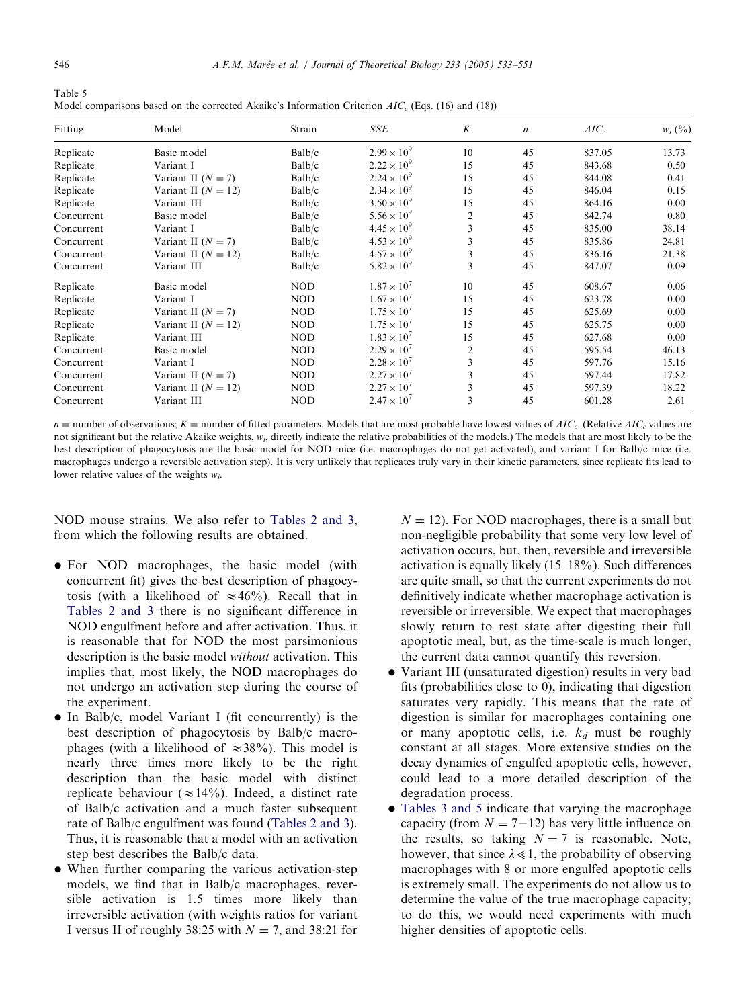<span id="page-13-0"></span>

| Table 5                                                                                              |  |
|------------------------------------------------------------------------------------------------------|--|
| Model comparisons based on the corrected Akaike's Information Criterion $AIC_c$ (Eqs. (16) and (18)) |  |

| Fitting    | Model                   | Strain     | <b>SSE</b>           | K  | $\boldsymbol{n}$ | $AIC_c$ | $W_i$ (%) |
|------------|-------------------------|------------|----------------------|----|------------------|---------|-----------|
| Replicate  | Basic model             | Balb/c     | $2.99 \times 10^{9}$ | 10 | 45               | 837.05  | 13.73     |
| Replicate  | Variant I               | Balb/c     | $2.22 \times 10^{9}$ | 15 | 45               | 843.68  | 0.50      |
| Replicate  | Variant II $(N = 7)$    | Balb/c     | $2.24 \times 10^{9}$ | 15 | 45               | 844.08  | 0.41      |
| Replicate  | Variant II $(N = 12)$   | Balb/c     | $2.34 \times 10^{9}$ | 15 | 45               | 846.04  | 0.15      |
| Replicate  | Variant III             | Balb/c     | $3.50 \times 10^{9}$ | 15 | 45               | 864.16  | 0.00      |
| Concurrent | Basic model             | Balb/c     | $5.56 \times 10^{9}$ | 2  | 45               | 842.74  | 0.80      |
| Concurrent | Variant I               | Balb/c     | $4.45 \times 10^{9}$ | 3  | 45               | 835.00  | 38.14     |
| Concurrent | Variant II ( $N = 7$ )  | Balb/c     | $4.53 \times 10^{9}$ | 3  | 45               | 835.86  | 24.81     |
| Concurrent | Variant II ( $N = 12$ ) | Balb/c     | $4.57 \times 10^{9}$ | 3  | 45               | 836.16  | 21.38     |
| Concurrent | Variant III             | Balb/c     | $5.82 \times 10^{9}$ | 3  | 45               | 847.07  | 0.09      |
| Replicate  | Basic model             | <b>NOD</b> | $1.87 \times 10^{7}$ | 10 | 45               | 608.67  | 0.06      |
| Replicate  | Variant I               | <b>NOD</b> | $1.67 \times 10^{7}$ | 15 | 45               | 623.78  | 0.00      |
| Replicate  | Variant II ( $N = 7$ )  | <b>NOD</b> | $1.75 \times 10^{7}$ | 15 | 45               | 625.69  | 0.00      |
| Replicate  | Variant II ( $N = 12$ ) | <b>NOD</b> | $1.75 \times 10^{7}$ | 15 | 45               | 625.75  | 0.00      |
| Replicate  | Variant III             | <b>NOD</b> | $1.83 \times 10^{7}$ | 15 | 45               | 627.68  | 0.00      |
| Concurrent | Basic model             | <b>NOD</b> | $2.29 \times 10^{7}$ | 2  | 45               | 595.54  | 46.13     |
| Concurrent | Variant I               | <b>NOD</b> | $2.28 \times 10^{7}$ | 3  | 45               | 597.76  | 15.16     |
| Concurrent | Variant II ( $N = 7$ )  | <b>NOD</b> | $2.27 \times 10^{7}$ | 3  | 45               | 597.44  | 17.82     |
| Concurrent | Variant II $(N = 12)$   | <b>NOD</b> | $2.27 \times 10^{7}$ | 3  | 45               | 597.39  | 18.22     |
| Concurrent | Variant III             | <b>NOD</b> | $2.47 \times 10^{7}$ | 3  | 45               | 601.28  | 2.61      |

 $n =$  number of observations;  $K =$  number of fitted parameters. Models that are most probable have lowest values of  $AIC_c$ . (Relative  $AIC_c$  values are not significant but the relative Akaike weights,  $w_i$ , directly indicate the relative probabilities of the models.) The models that are most likely to be the best description of phagocytosis are the basic model for NOD mice (i.e. macrophages do not get activated), and variant I for Balb/c mice (i.e. macrophages undergo a reversible activation step). It is very unlikely that replicates truly vary in their kinetic parameters, since replicate fits lead to lower relative values of the weights  $w_i$ .

NOD mouse strains. We also refer to [Tables 2 and 3,](#page-11-0) from which the following results are obtained.

- For NOD macrophages, the basic model (with concurrent fit) gives the best description of phagocytosis (with a likelihood of  $\approx 46\%$ ). Recall that in [Tables 2 and 3](#page-11-0) there is no significant difference in NOD engulfment before and after activation. Thus, it is reasonable that for NOD the most parsimonious description is the basic model without activation. This implies that, most likely, the NOD macrophages do not undergo an activation step during the course of the experiment.
- In Balb/c, model Variant I (fit concurrently) is the best description of phagocytosis by Balb/c macrophages (with a likelihood of  $\approx 38\%$ ). This model is nearly three times more likely to be the right description than the basic model with distinct replicate behaviour ( $\approx$  14%). Indeed, a distinct rate of Balb/c activation and a much faster subsequent rate of Balb/c engulfment was found ([Tables 2 and 3\)](#page-11-0). Thus, it is reasonable that a model with an activation step best describes the Balb/c data.
- When further comparing the various activation-step models, we find that in Balb/c macrophages, reversible activation is 1.5 times more likely than irreversible activation (with weights ratios for variant I versus II of roughly 38:25 with  $N = 7$ , and 38:21 for

 $N = 12$ ). For NOD macrophages, there is a small but non-negligible probability that some very low level of activation occurs, but, then, reversible and irreversible activation is equally likely (15–18%). Such differences are quite small, so that the current experiments do not definitively indicate whether macrophage activation is reversible or irreversible. We expect that macrophages slowly return to rest state after digesting their full apoptotic meal, but, as the time-scale is much longer, the current data cannot quantify this reversion.

- Variant III (unsaturated digestion) results in very bad fits (probabilities close to 0), indicating that digestion saturates very rapidly. This means that the rate of digestion is similar for macrophages containing one or many apoptotic cells, i.e.  $k_d$  must be roughly constant at all stages. More extensive studies on the decay dynamics of engulfed apoptotic cells, however, could lead to a more detailed description of the degradation process.
- [Tables 3 and 5](#page-12-0) indicate that varying the macrophage capacity (from  $N = 7-12$ ) has very little influence on the results, so taking  $N = 7$  is reasonable. Note, however, that since  $\lambda \ll 1$ , the probability of observing macrophages with 8 or more engulfed apoptotic cells is extremely small. The experiments do not allow us to determine the value of the true macrophage capacity; to do this, we would need experiments with much higher densities of apoptotic cells.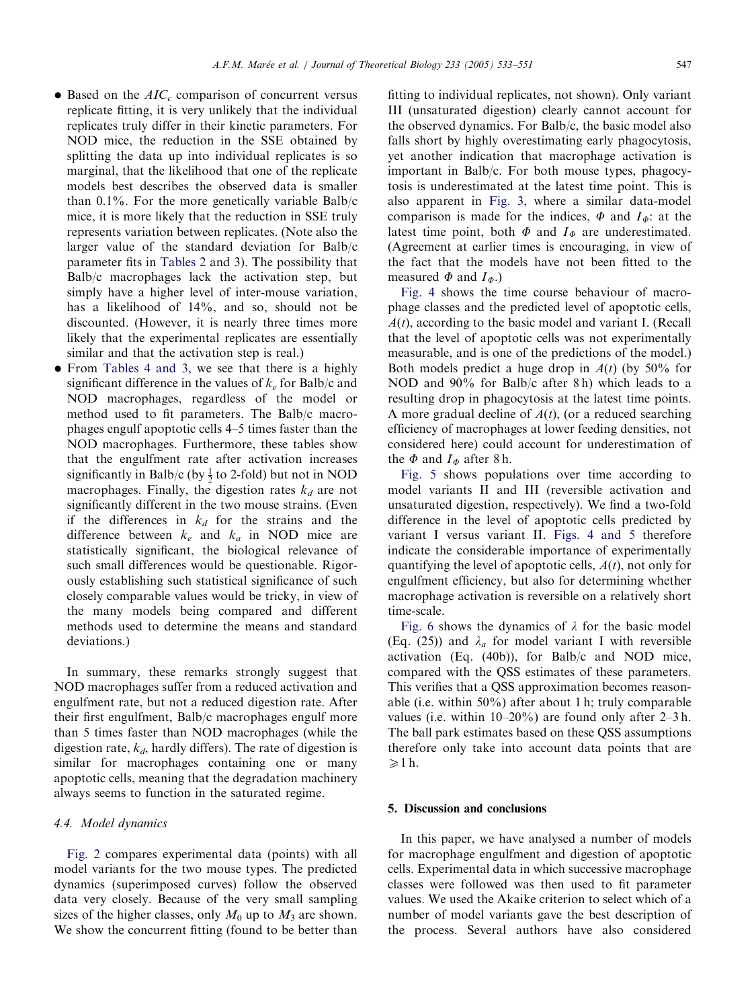- $\bullet$  Based on the  $AIC<sub>c</sub>$  comparison of concurrent versus replicate fitting, it is very unlikely that the individual replicates truly differ in their kinetic parameters. For NOD mice, the reduction in the SSE obtained by splitting the data up into individual replicates is so marginal, that the likelihood that one of the replicate models best describes the observed data is smaller than 0.1%. For the more genetically variable Balb/c mice, it is more likely that the reduction in SSE truly represents variation between replicates. (Note also the larger value of the standard deviation for Balb/c parameter fits in [Tables 2](#page-11-0) and 3). The possibility that Balb/c macrophages lack the activation step, but simply have a higher level of inter-mouse variation, has a likelihood of 14%, and so, should not be
- discounted. (However, it is nearly three times more likely that the experimental replicates are essentially similar and that the activation step is real.) • From [Tables 4 and 3](#page-12-0), we see that there is a highly significant difference in the values of  $k_e$  for Balb/c and NOD macrophages, regardless of the model or method used to fit parameters. The Balb/c macrophages engulf apoptotic cells 4–5 times faster than the NOD macrophages. Furthermore, these tables show that the engulfment rate after activation increases significantly in Balb/c (by  $\frac{1}{2}$  to 2-fold) but not in NOD macrophages. Finally, the digestion rates  $k_d$  are not significantly different in the two mouse strains. (Even if the differences in  $k_d$  for the strains and the difference between  $k_e$  and  $k_a$  in NOD mice are statistically significant, the biological relevance of such small differences would be questionable. Rigorously establishing such statistical significance of such closely comparable values would be tricky, in view of the many models being compared and different

In summary, these remarks strongly suggest that NOD macrophages suffer from a reduced activation and engulfment rate, but not a reduced digestion rate. After their first engulfment, Balb/c macrophages engulf more than 5 times faster than NOD macrophages (while the digestion rate,  $k_d$ , hardly differs). The rate of digestion is similar for macrophages containing one or many apoptotic cells, meaning that the degradation machinery always seems to function in the saturated regime.

methods used to determine the means and standard

## 4.4. Model dynamics

deviations.)

[Fig. 2](#page-6-0) compares experimental data (points) with all model variants for the two mouse types. The predicted dynamics (superimposed curves) follow the observed data very closely. Because of the very small sampling sizes of the higher classes, only  $M_0$  up to  $M_3$  are shown. We show the concurrent fitting (found to be better than

fitting to individual replicates, not shown). Only variant III (unsaturated digestion) clearly cannot account for the observed dynamics. For Balb/c, the basic model also falls short by highly overestimating early phagocytosis, yet another indication that macrophage activation is important in Balb/c. For both mouse types, phagocytosis is underestimated at the latest time point. This is also apparent in [Fig. 3,](#page-7-0) where a similar data-model comparison is made for the indices,  $\Phi$  and  $I_{\Phi}$ : at the latest time point, both  $\Phi$  and  $I_{\Phi}$  are underestimated. (Agreement at earlier times is encouraging, in view of the fact that the models have not been fitted to the measured  $\Phi$  and  $I_{\Phi}$ .)

[Fig. 4](#page-15-0) shows the time course behaviour of macrophage classes and the predicted level of apoptotic cells,  $A(t)$ , according to the basic model and variant I. (Recall that the level of apoptotic cells was not experimentally measurable, and is one of the predictions of the model.) Both models predict a huge drop in  $A(t)$  (by 50% for NOD and 90% for Balb/c after 8 h) which leads to a resulting drop in phagocytosis at the latest time points. A more gradual decline of  $A(t)$ , (or a reduced searching efficiency of macrophages at lower feeding densities, not considered here) could account for underestimation of the  $\Phi$  and  $I_{\Phi}$  after 8 h.

[Fig. 5](#page-16-0) shows populations over time according to model variants II and III (reversible activation and unsaturated digestion, respectively). We find a two-fold difference in the level of apoptotic cells predicted by variant I versus variant II. [Figs. 4 and 5](#page-15-0) therefore indicate the considerable importance of experimentally quantifying the level of apoptotic cells,  $A(t)$ , not only for engulfment efficiency, but also for determining whether macrophage activation is reversible on a relatively short time-scale.

[Fig. 6](#page-17-0) shows the dynamics of  $\lambda$  for the basic model (Eq. (25)) and  $\lambda_a$  for model variant I with reversible activation (Eq. (40b)), for Balb/c and NOD mice, compared with the QSS estimates of these parameters. This verifies that a QSS approximation becomes reasonable (i.e. within 50%) after about 1 h; truly comparable values (i.e. within 10–20%) are found only after 2–3 h. The ball park estimates based on these QSS assumptions therefore only take into account data points that are  $\geqslant$  1 h.

#### 5. Discussion and conclusions

In this paper, we have analysed a number of models for macrophage engulfment and digestion of apoptotic cells. Experimental data in which successive macrophage classes were followed was then used to fit parameter values. We used the Akaike criterion to select which of a number of model variants gave the best description of the process. Several authors have also considered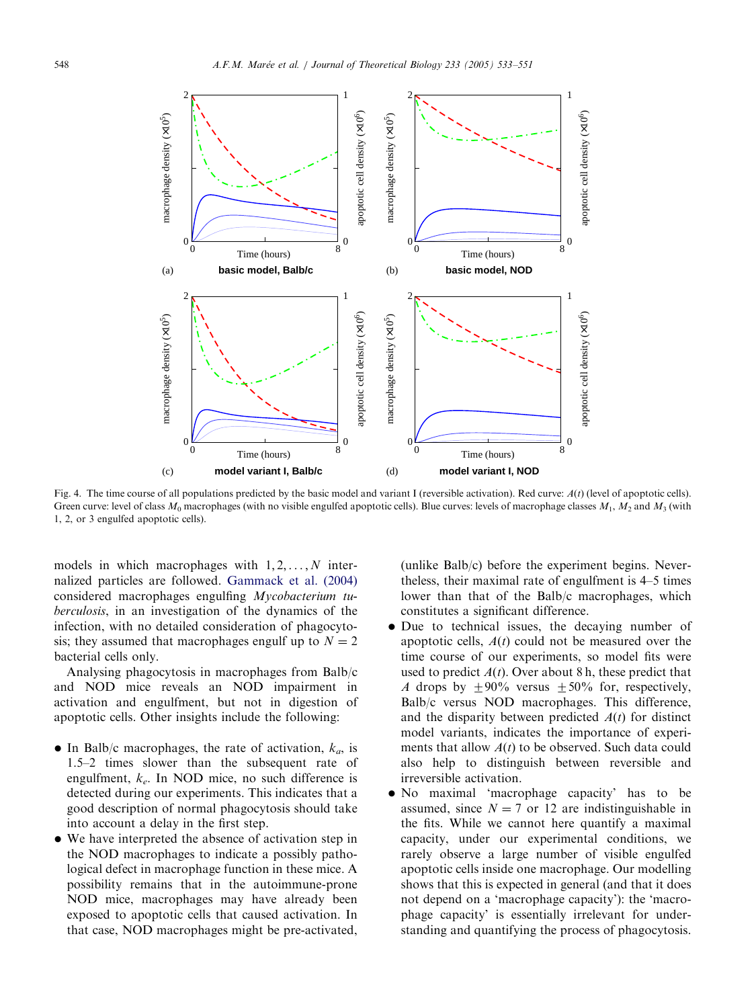<span id="page-15-0"></span>

Fig. 4. The time course of all populations predicted by the basic model and variant I (reversible activation). Red curve:  $A(t)$  (level of apoptotic cells). Green curve: level of class  $M_0$  macrophages (with no visible engulfed apoptotic cells). Blue curves: levels of macrophage classes  $M_1$ ,  $M_2$  and  $M_3$  (with 1, 2, or 3 engulfed apoptotic cells).

models in which macrophages with  $1, 2, \ldots, N$  internalized particles are followed. [Gammack et al. \(2004\)](#page-18-0) considered macrophages engulfing Mycobacterium tuberculosis, in an investigation of the dynamics of the infection, with no detailed consideration of phagocytosis; they assumed that macrophages engulf up to  $N = 2$ bacterial cells only.

Analysing phagocytosis in macrophages from Balb/c and NOD mice reveals an NOD impairment in activation and engulfment, but not in digestion of apoptotic cells. Other insights include the following:

- In Balb/c macrophages, the rate of activation,  $k_a$ , is 1.5–2 times slower than the subsequent rate of engulfment,  $k_e$ . In NOD mice, no such difference is detected during our experiments. This indicates that a good description of normal phagocytosis should take into account a delay in the first step.
- We have interpreted the absence of activation step in the NOD macrophages to indicate a possibly pathological defect in macrophage function in these mice. A possibility remains that in the autoimmune-prone NOD mice, macrophages may have already been exposed to apoptotic cells that caused activation. In that case, NOD macrophages might be pre-activated,

(unlike Balb/c) before the experiment begins. Nevertheless, their maximal rate of engulfment is 4–5 times lower than that of the Balb/c macrophages, which constitutes a significant difference.

- Due to technical issues, the decaying number of apoptotic cells,  $A(t)$  could not be measured over the time course of our experiments, so model fits were used to predict  $A(t)$ . Over about 8 h, these predict that A drops by  $\pm 90\%$  versus  $\pm 50\%$  for, respectively, Balb/c versus NOD macrophages. This difference, and the disparity between predicted  $A(t)$  for distinct model variants, indicates the importance of experiments that allow  $A(t)$  to be observed. Such data could also help to distinguish between reversible and irreversible activation.
- No maximal 'macrophage capacity' has to be assumed, since  $N = 7$  or 12 are indistinguishable in the fits. While we cannot here quantify a maximal capacity, under our experimental conditions, we rarely observe a large number of visible engulfed apoptotic cells inside one macrophage. Our modelling shows that this is expected in general (and that it does not depend on a 'macrophage capacity'): the 'macrophage capacity' is essentially irrelevant for understanding and quantifying the process of phagocytosis.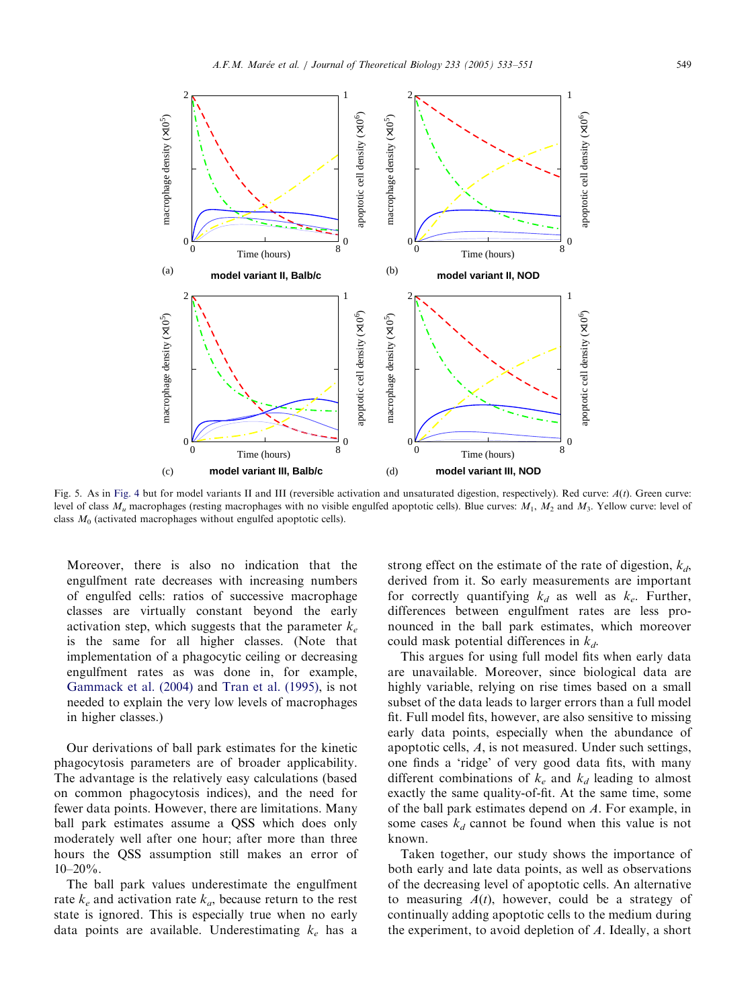<span id="page-16-0"></span>

Fig. 5. As in [Fig. 4](#page-15-0) but for model variants II and III (reversible activation and unsaturated digestion, respectively). Red curve:  $A(t)$ . Green curve: level of class  $M_u$  macrophages (resting macrophages with no visible engulfed apoptotic cells). Blue curves:  $M_1$ ,  $M_2$  and  $M_3$ . Yellow curve: level of class  $M_0$  (activated macrophages without engulfed apoptotic cells).

Moreover, there is also no indication that the engulfment rate decreases with increasing numbers of engulfed cells: ratios of successive macrophage classes are virtually constant beyond the early activation step, which suggests that the parameter  $k_e$ is the same for all higher classes. (Note that implementation of a phagocytic ceiling or decreasing engulfment rates as was done in, for example, [Gammack et al. \(2004\)](#page-18-0) and [Tran et al. \(1995\)](#page-18-0), is not needed to explain the very low levels of macrophages in higher classes.)

Our derivations of ball park estimates for the kinetic phagocytosis parameters are of broader applicability. The advantage is the relatively easy calculations (based on common phagocytosis indices), and the need for fewer data points. However, there are limitations. Many ball park estimates assume a QSS which does only moderately well after one hour; after more than three hours the QSS assumption still makes an error of  $10-20\%$ .

The ball park values underestimate the engulfment rate  $k_e$  and activation rate  $k_a$ , because return to the rest state is ignored. This is especially true when no early data points are available. Underestimating  $k_e$  has a strong effect on the estimate of the rate of digestion,  $k_d$ , derived from it. So early measurements are important for correctly quantifying  $k_d$  as well as  $k_e$ . Further, differences between engulfment rates are less pronounced in the ball park estimates, which moreover could mask potential differences in  $k_d$ .

This argues for using full model fits when early data are unavailable. Moreover, since biological data are highly variable, relying on rise times based on a small subset of the data leads to larger errors than a full model fit. Full model fits, however, are also sensitive to missing early data points, especially when the abundance of apoptotic cells, A, is not measured. Under such settings, one finds a 'ridge' of very good data fits, with many different combinations of  $k_e$  and  $k_d$  leading to almost exactly the same quality-of-fit. At the same time, some of the ball park estimates depend on A. For example, in some cases  $k_d$  cannot be found when this value is not known.

Taken together, our study shows the importance of both early and late data points, as well as observations of the decreasing level of apoptotic cells. An alternative to measuring  $A(t)$ , however, could be a strategy of continually adding apoptotic cells to the medium during the experiment, to avoid depletion of A. Ideally, a short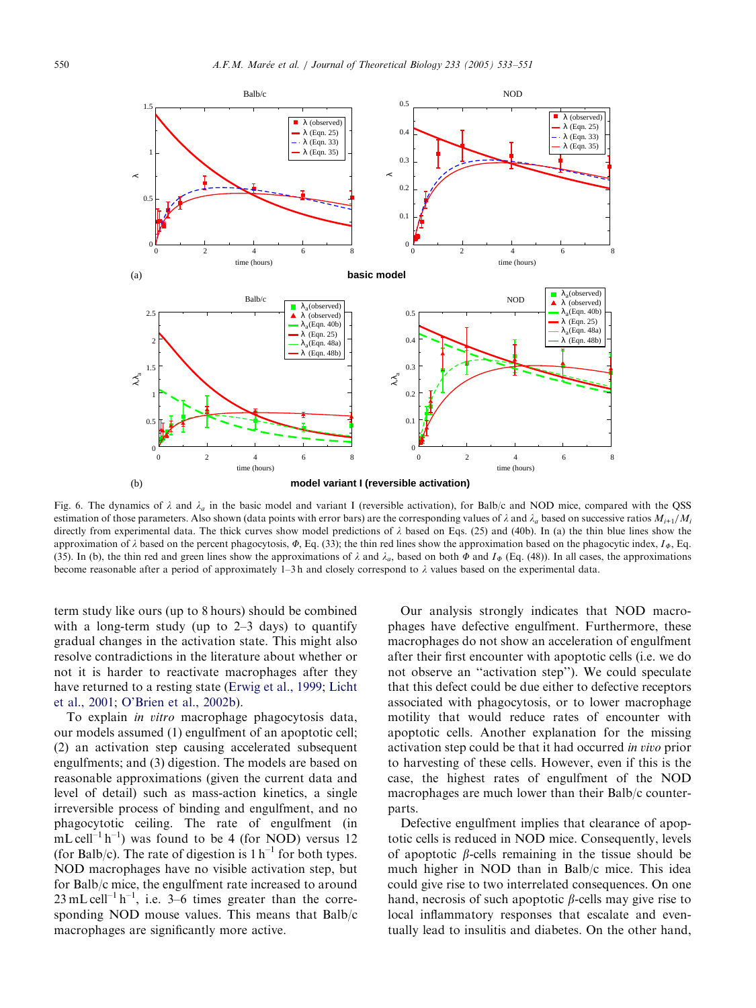<span id="page-17-0"></span>

Fig. 6. The dynamics of  $\lambda$  and  $\lambda_a$  in the basic model and variant I (reversible activation), for Balb/c and NOD mice, compared with the QSS estimation of those parameters. Also shown (data points with error bars) are the corresponding values of  $\lambda$  and  $\lambda_a$  based on successive ratios  $M_{i+1}/M_i$ directly from experimental data. The thick curves show model predictions of  $\lambda$  based on Eqs. (25) and (40b). In (a) the thin blue lines show the approximation of  $\lambda$  based on the percent phagocytosis,  $\Phi$ , Eq. (33); the thin red lines show the approximation based on the phagocytic index,  $I_{\Phi}$ , Eq. (35). In (b), the thin red and green lines show the approximations of  $\lambda$  and  $\lambda_a$ , based on both  $\Phi$  and  $I_\Phi$  (Eq. (48)). In all cases, the approximations become reasonable after a period of approximately 1–3 h and closely correspond to  $\lambda$  values based on the experimental data.

term study like ours (up to 8 hours) should be combined with a long-term study (up to  $2-3$  days) to quantify gradual changes in the activation state. This might also resolve contradictions in the literature about whether or not it is harder to reactivate macrophages after they have returned to a resting state ([Erwig et al., 1999;](#page-18-0) [Licht](#page-18-0) [et al., 2001;](#page-18-0) [O'Brien et al., 2002b\)](#page-18-0).

To explain in vitro macrophage phagocytosis data, our models assumed (1) engulfment of an apoptotic cell; (2) an activation step causing accelerated subsequent engulfments; and (3) digestion. The models are based on reasonable approximations (given the current data and level of detail) such as mass-action kinetics, a single irreversible process of binding and engulfment, and no phagocytotic ceiling. The rate of engulfment (in  $mL$  cell<sup>-1</sup> h<sup>-1</sup>) was found to be 4 (for NOD) versus 12 (for Balb/c). The rate of digestion is  $1 h^{-1}$  for both types. NOD macrophages have no visible activation step, but for Balb/c mice, the engulfment rate increased to around  $23 \text{ mL cell}^{-1} \text{ h}^{-1}$ , i.e. 3–6 times greater than the corresponding NOD mouse values. This means that Balb/c macrophages are significantly more active.

Our analysis strongly indicates that NOD macrophages have defective engulfment. Furthermore, these macrophages do not show an acceleration of engulfment after their first encounter with apoptotic cells (i.e. we do not observe an ''activation step''). We could speculate that this defect could be due either to defective receptors associated with phagocytosis, or to lower macrophage motility that would reduce rates of encounter with apoptotic cells. Another explanation for the missing activation step could be that it had occurred in vivo prior to harvesting of these cells. However, even if this is the case, the highest rates of engulfment of the NOD macrophages are much lower than their Balb/c counterparts.

Defective engulfment implies that clearance of apoptotic cells is reduced in NOD mice. Consequently, levels of apoptotic  $\beta$ -cells remaining in the tissue should be much higher in NOD than in Balb/c mice. This idea could give rise to two interrelated consequences. On one hand, necrosis of such apoptotic  $\beta$ -cells may give rise to local inflammatory responses that escalate and eventually lead to insulitis and diabetes. On the other hand,